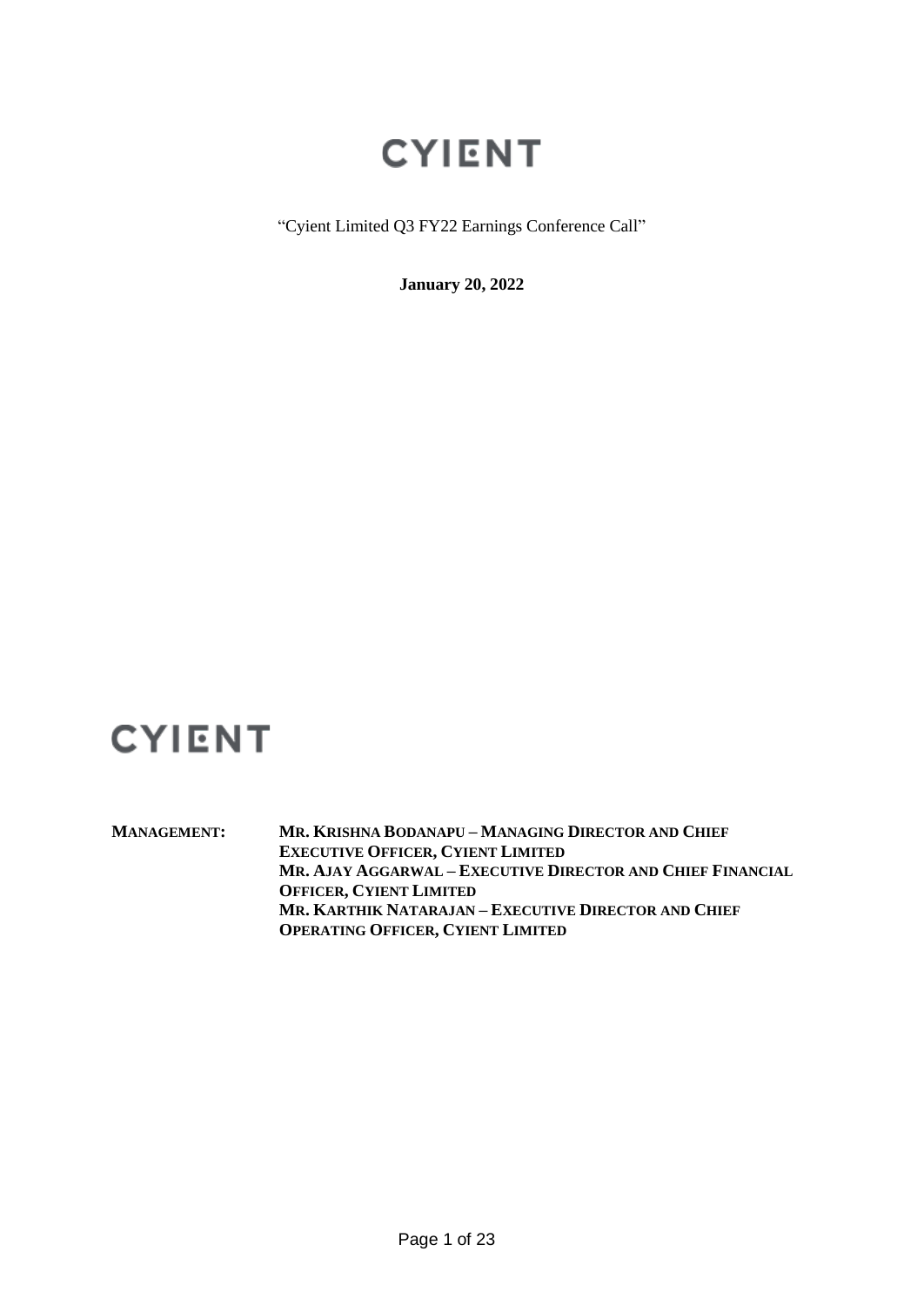"Cyient Limited Q3 FY22 Earnings Conference Call"

**January 20, 2022**

## **CYIENT**

**MANAGEMENT: MR. KRISHNA BODANAPU – MANAGING DIRECTOR AND CHIEF EXECUTIVE OFFICER, CYIENT LIMITED MR. AJAY AGGARWAL – EXECUTIVE DIRECTOR AND CHIEF FINANCIAL OFFICER, CYIENT LIMITED MR. KARTHIK NATARAJAN – EXECUTIVE DIRECTOR AND CHIEF OPERATING OFFICER, CYIENT LIMITED**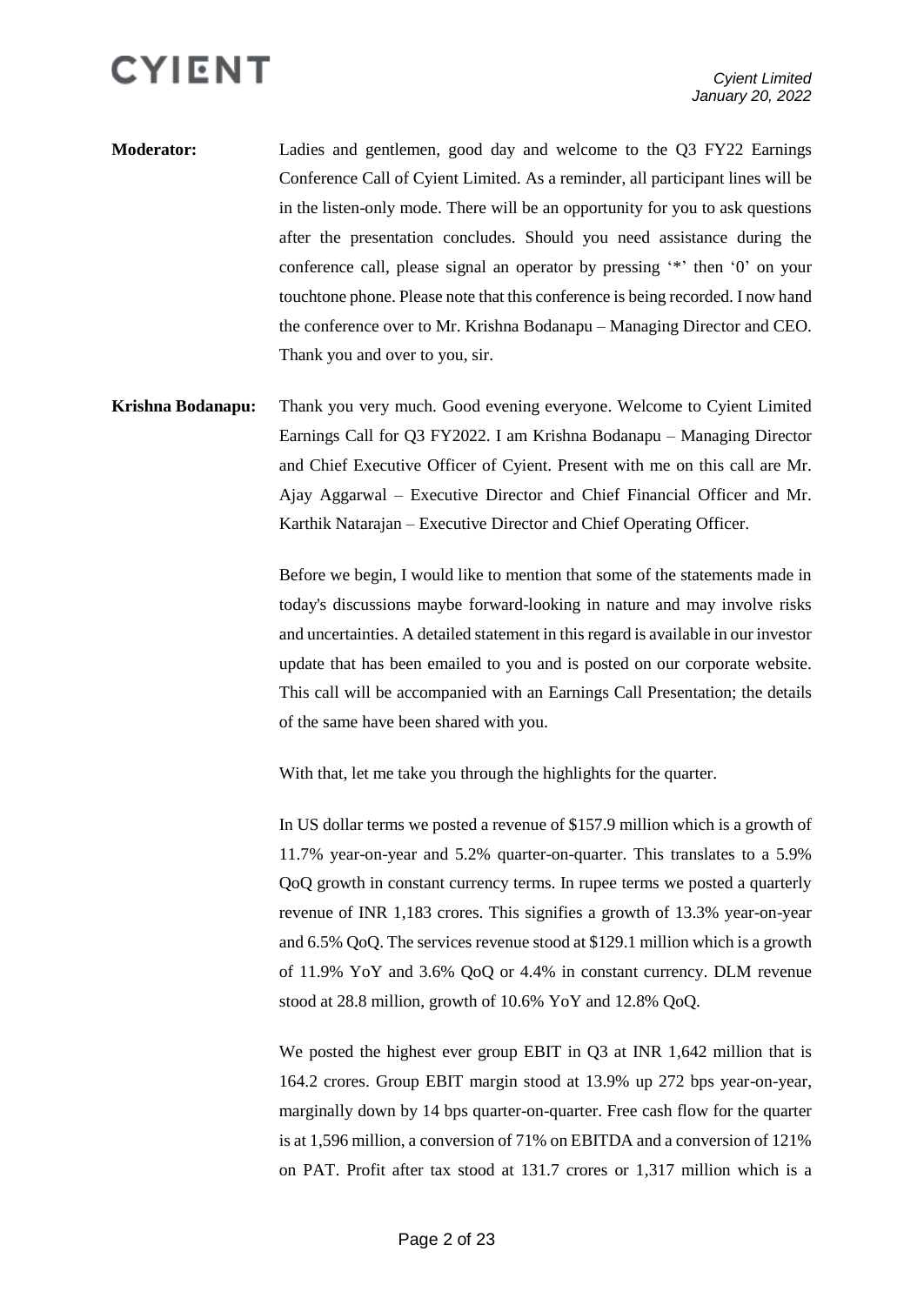- **Moderator:** Ladies and gentlemen, good day and welcome to the Q3 FY22 Earnings Conference Call of Cyient Limited. As a reminder, all participant lines will be in the listen-only mode. There will be an opportunity for you to ask questions after the presentation concludes. Should you need assistance during the conference call, please signal an operator by pressing '\*' then '0' on your touchtone phone. Please note that this conference is being recorded. I now hand the conference over to Mr. Krishna Bodanapu – Managing Director and CEO. Thank you and over to you, sir.
- **Krishna Bodanapu:** Thank you very much. Good evening everyone. Welcome to Cyient Limited Earnings Call for Q3 FY2022. I am Krishna Bodanapu – Managing Director and Chief Executive Officer of Cyient. Present with me on this call are Mr. Ajay Aggarwal – Executive Director and Chief Financial Officer and Mr. Karthik Natarajan – Executive Director and Chief Operating Officer.

Before we begin, I would like to mention that some of the statements made in today's discussions maybe forward-looking in nature and may involve risks and uncertainties. A detailed statement in this regard is available in our investor update that has been emailed to you and is posted on our corporate website. This call will be accompanied with an Earnings Call Presentation; the details of the same have been shared with you.

With that, let me take you through the highlights for the quarter.

In US dollar terms we posted a revenue of \$157.9 million which is a growth of 11.7% year-on-year and 5.2% quarter-on-quarter. This translates to a 5.9% QoQ growth in constant currency terms. In rupee terms we posted a quarterly revenue of INR 1,183 crores. This signifies a growth of 13.3% year-on-year and 6.5% QoQ. The services revenue stood at \$129.1 million which is a growth of 11.9% YoY and 3.6% QoQ or 4.4% in constant currency. DLM revenue stood at 28.8 million, growth of 10.6% YoY and 12.8% QoQ.

We posted the highest ever group EBIT in Q3 at INR 1,642 million that is 164.2 crores. Group EBIT margin stood at 13.9% up 272 bps year-on-year, marginally down by 14 bps quarter-on-quarter. Free cash flow for the quarter is at 1,596 million, a conversion of 71% on EBITDA and a conversion of 121% on PAT. Profit after tax stood at 131.7 crores or 1,317 million which is a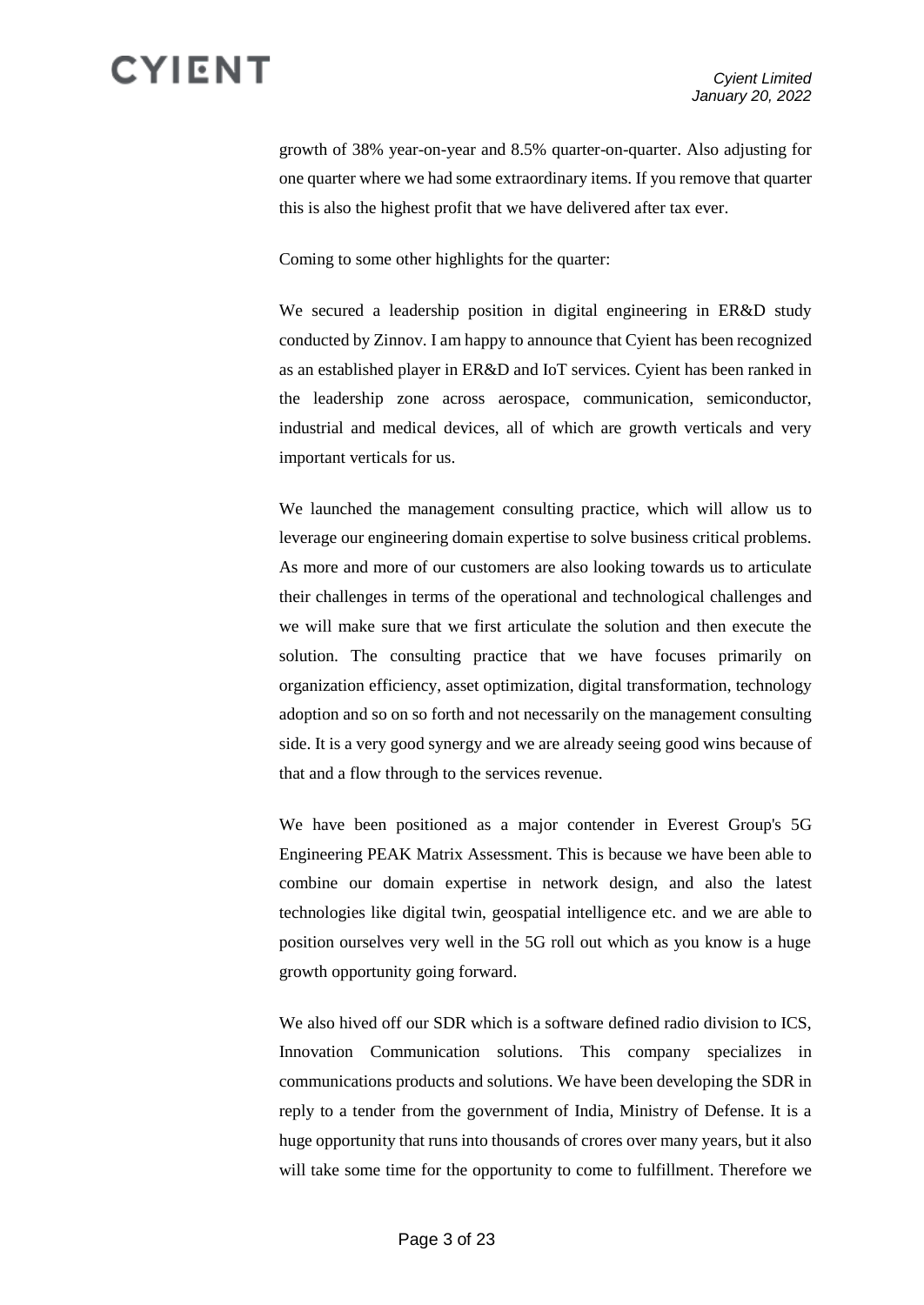growth of 38% year-on-year and 8.5% quarter-on-quarter. Also adjusting for one quarter where we had some extraordinary items. If you remove that quarter this is also the highest profit that we have delivered after tax ever.

Coming to some other highlights for the quarter:

We secured a leadership position in digital engineering in ER&D study conducted by Zinnov. I am happy to announce that Cyient has been recognized as an established player in ER&D and IoT services. Cyient has been ranked in the leadership zone across aerospace, communication, semiconductor, industrial and medical devices, all of which are growth verticals and very important verticals for us.

We launched the management consulting practice, which will allow us to leverage our engineering domain expertise to solve business critical problems. As more and more of our customers are also looking towards us to articulate their challenges in terms of the operational and technological challenges and we will make sure that we first articulate the solution and then execute the solution. The consulting practice that we have focuses primarily on organization efficiency, asset optimization, digital transformation, technology adoption and so on so forth and not necessarily on the management consulting side. It is a very good synergy and we are already seeing good wins because of that and a flow through to the services revenue.

We have been positioned as a major contender in Everest Group's 5G Engineering PEAK Matrix Assessment. This is because we have been able to combine our domain expertise in network design, and also the latest technologies like digital twin, geospatial intelligence etc. and we are able to position ourselves very well in the 5G roll out which as you know is a huge growth opportunity going forward.

We also hived off our SDR which is a software defined radio division to ICS, Innovation Communication solutions. This company specializes in communications products and solutions. We have been developing the SDR in reply to a tender from the government of India, Ministry of Defense. It is a huge opportunity that runs into thousands of crores over many years, but it also will take some time for the opportunity to come to fulfillment. Therefore we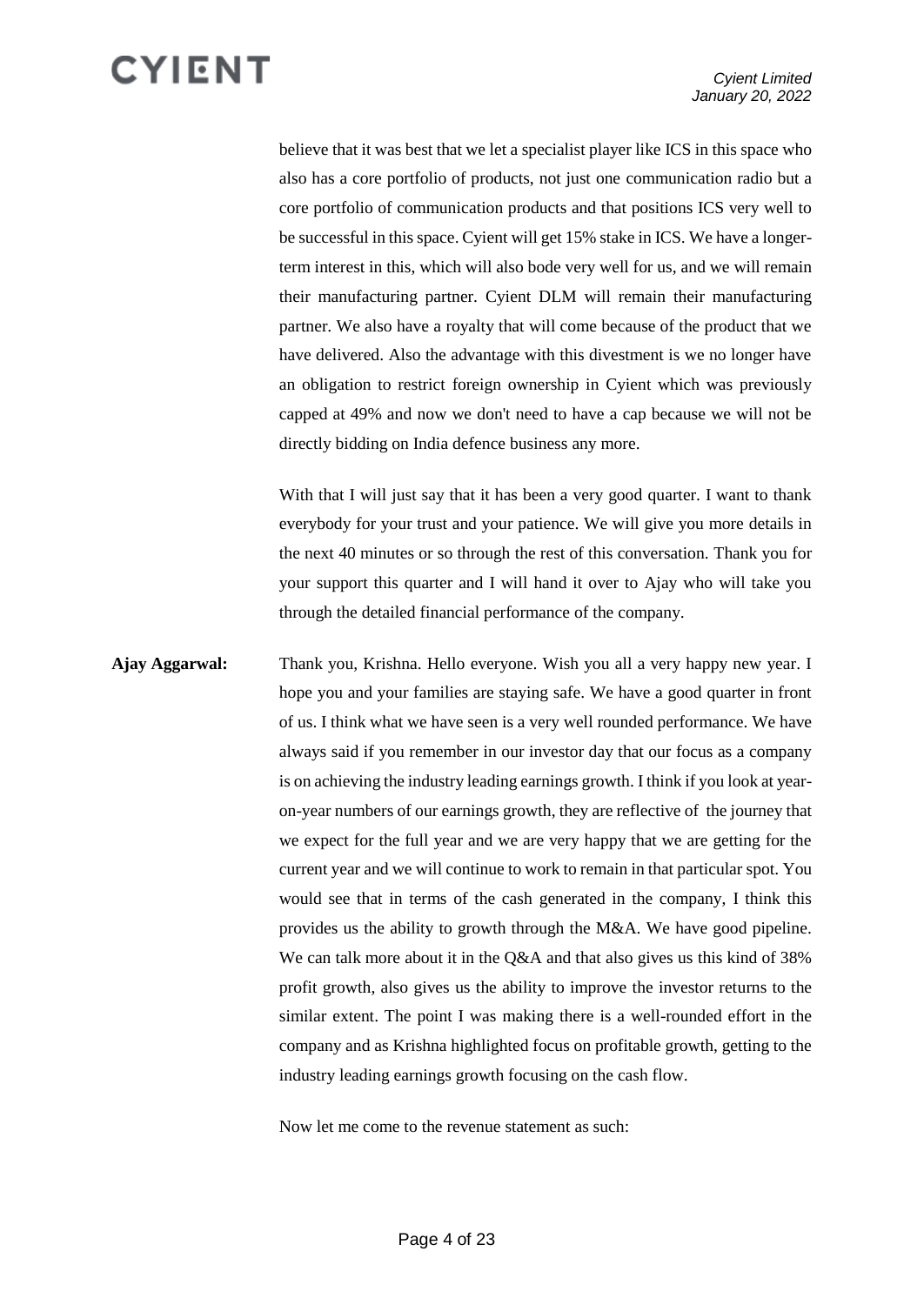believe that it was best that we let a specialist player like ICS in this space who also has a core portfolio of products, not just one communication radio but a core portfolio of communication products and that positions ICS very well to be successful in this space. Cyient will get 15% stake in ICS. We have a longerterm interest in this, which will also bode very well for us, and we will remain their manufacturing partner. Cyient DLM will remain their manufacturing partner. We also have a royalty that will come because of the product that we have delivered. Also the advantage with this divestment is we no longer have an obligation to restrict foreign ownership in Cyient which was previously capped at 49% and now we don't need to have a cap because we will not be directly bidding on India defence business any more.

With that I will just say that it has been a very good quarter. I want to thank everybody for your trust and your patience. We will give you more details in the next 40 minutes or so through the rest of this conversation. Thank you for your support this quarter and I will hand it over to Ajay who will take you through the detailed financial performance of the company.

**Ajay Aggarwal:** Thank you, Krishna. Hello everyone. Wish you all a very happy new year. I hope you and your families are staying safe. We have a good quarter in front of us. I think what we have seen is a very well rounded performance. We have always said if you remember in our investor day that our focus as a company is on achieving the industry leading earnings growth. I think if you look at yearon-year numbers of our earnings growth, they are reflective of the journey that we expect for the full year and we are very happy that we are getting for the current year and we will continue to work to remain in that particular spot. You would see that in terms of the cash generated in the company, I think this provides us the ability to growth through the M&A. We have good pipeline. We can talk more about it in the Q&A and that also gives us this kind of 38% profit growth, also gives us the ability to improve the investor returns to the similar extent. The point I was making there is a well-rounded effort in the company and as Krishna highlighted focus on profitable growth, getting to the industry leading earnings growth focusing on the cash flow.

Now let me come to the revenue statement as such: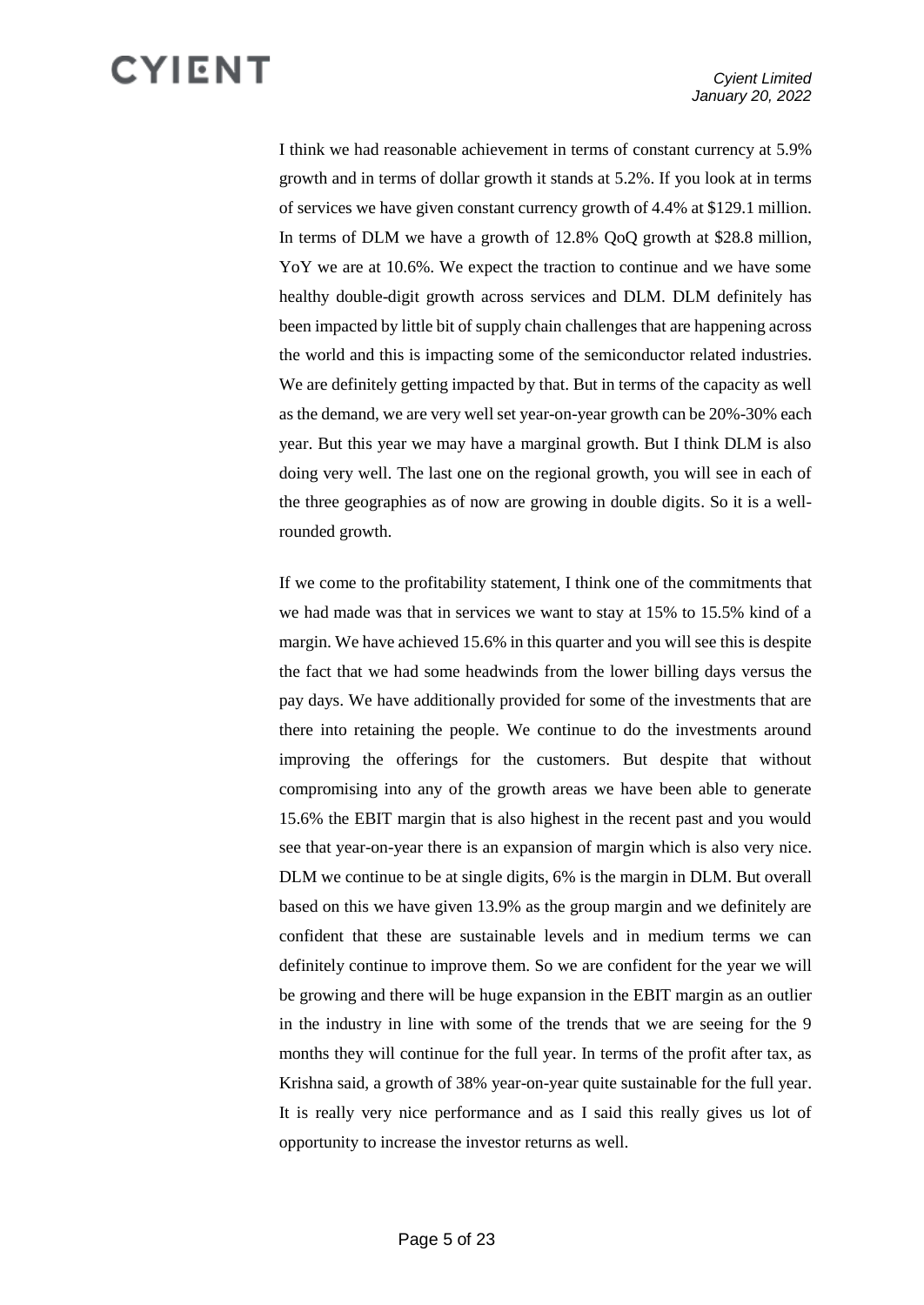I think we had reasonable achievement in terms of constant currency at 5.9% growth and in terms of dollar growth it stands at 5.2%. If you look at in terms of services we have given constant currency growth of 4.4% at \$129.1 million. In terms of DLM we have a growth of 12.8% QoQ growth at \$28.8 million, YoY we are at 10.6%. We expect the traction to continue and we have some healthy double-digit growth across services and DLM. DLM definitely has been impacted by little bit of supply chain challenges that are happening across the world and this is impacting some of the semiconductor related industries. We are definitely getting impacted by that. But in terms of the capacity as well as the demand, we are very well set year-on-year growth can be 20%-30% each year. But this year we may have a marginal growth. But I think DLM is also doing very well. The last one on the regional growth, you will see in each of the three geographies as of now are growing in double digits. So it is a wellrounded growth.

If we come to the profitability statement, I think one of the commitments that we had made was that in services we want to stay at 15% to 15.5% kind of a margin. We have achieved 15.6% in this quarter and you will see this is despite the fact that we had some headwinds from the lower billing days versus the pay days. We have additionally provided for some of the investments that are there into retaining the people. We continue to do the investments around improving the offerings for the customers. But despite that without compromising into any of the growth areas we have been able to generate 15.6% the EBIT margin that is also highest in the recent past and you would see that year-on-year there is an expansion of margin which is also very nice. DLM we continue to be at single digits, 6% is the margin in DLM. But overall based on this we have given 13.9% as the group margin and we definitely are confident that these are sustainable levels and in medium terms we can definitely continue to improve them. So we are confident for the year we will be growing and there will be huge expansion in the EBIT margin as an outlier in the industry in line with some of the trends that we are seeing for the 9 months they will continue for the full year. In terms of the profit after tax, as Krishna said, a growth of 38% year-on-year quite sustainable for the full year. It is really very nice performance and as I said this really gives us lot of opportunity to increase the investor returns as well.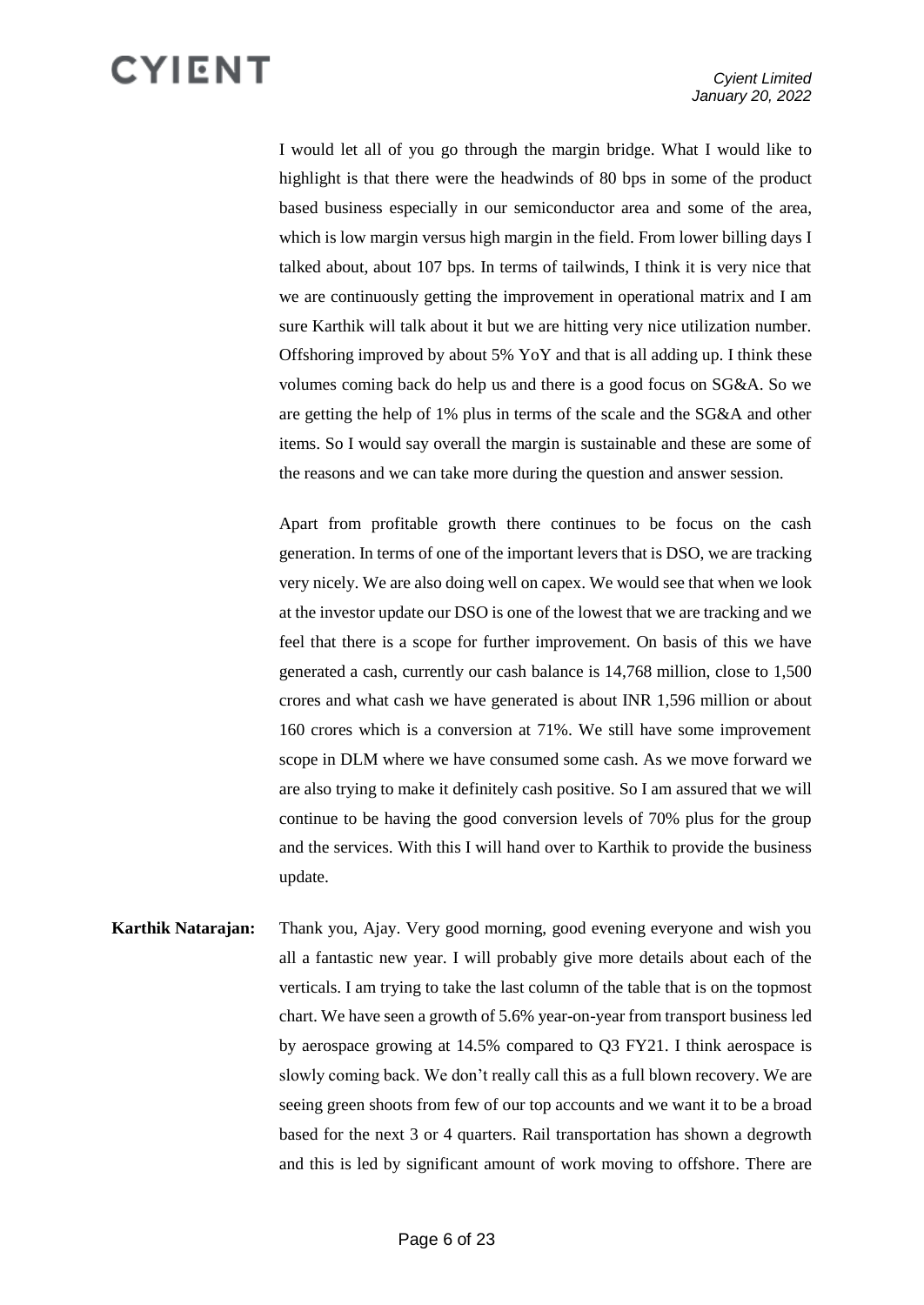I would let all of you go through the margin bridge. What I would like to highlight is that there were the headwinds of 80 bps in some of the product based business especially in our semiconductor area and some of the area, which is low margin versus high margin in the field. From lower billing days I talked about, about 107 bps. In terms of tailwinds, I think it is very nice that we are continuously getting the improvement in operational matrix and I am sure Karthik will talk about it but we are hitting very nice utilization number. Offshoring improved by about 5% YoY and that is all adding up. I think these volumes coming back do help us and there is a good focus on SG&A. So we are getting the help of 1% plus in terms of the scale and the SG&A and other items. So I would say overall the margin is sustainable and these are some of the reasons and we can take more during the question and answer session.

Apart from profitable growth there continues to be focus on the cash generation. In terms of one of the important levers that is DSO, we are tracking very nicely. We are also doing well on capex. We would see that when we look at the investor update our DSO is one of the lowest that we are tracking and we feel that there is a scope for further improvement. On basis of this we have generated a cash, currently our cash balance is 14,768 million, close to 1,500 crores and what cash we have generated is about INR 1,596 million or about 160 crores which is a conversion at 71%. We still have some improvement scope in DLM where we have consumed some cash. As we move forward we are also trying to make it definitely cash positive. So I am assured that we will continue to be having the good conversion levels of 70% plus for the group and the services. With this I will hand over to Karthik to provide the business update.

**Karthik Natarajan:** Thank you, Ajay. Very good morning, good evening everyone and wish you all a fantastic new year. I will probably give more details about each of the verticals. I am trying to take the last column of the table that is on the topmost chart. We have seen a growth of 5.6% year-on-year from transport business led by aerospace growing at 14.5% compared to Q3 FY21. I think aerospace is slowly coming back. We don't really call this as a full blown recovery. We are seeing green shoots from few of our top accounts and we want it to be a broad based for the next 3 or 4 quarters. Rail transportation has shown a degrowth and this is led by significant amount of work moving to offshore. There are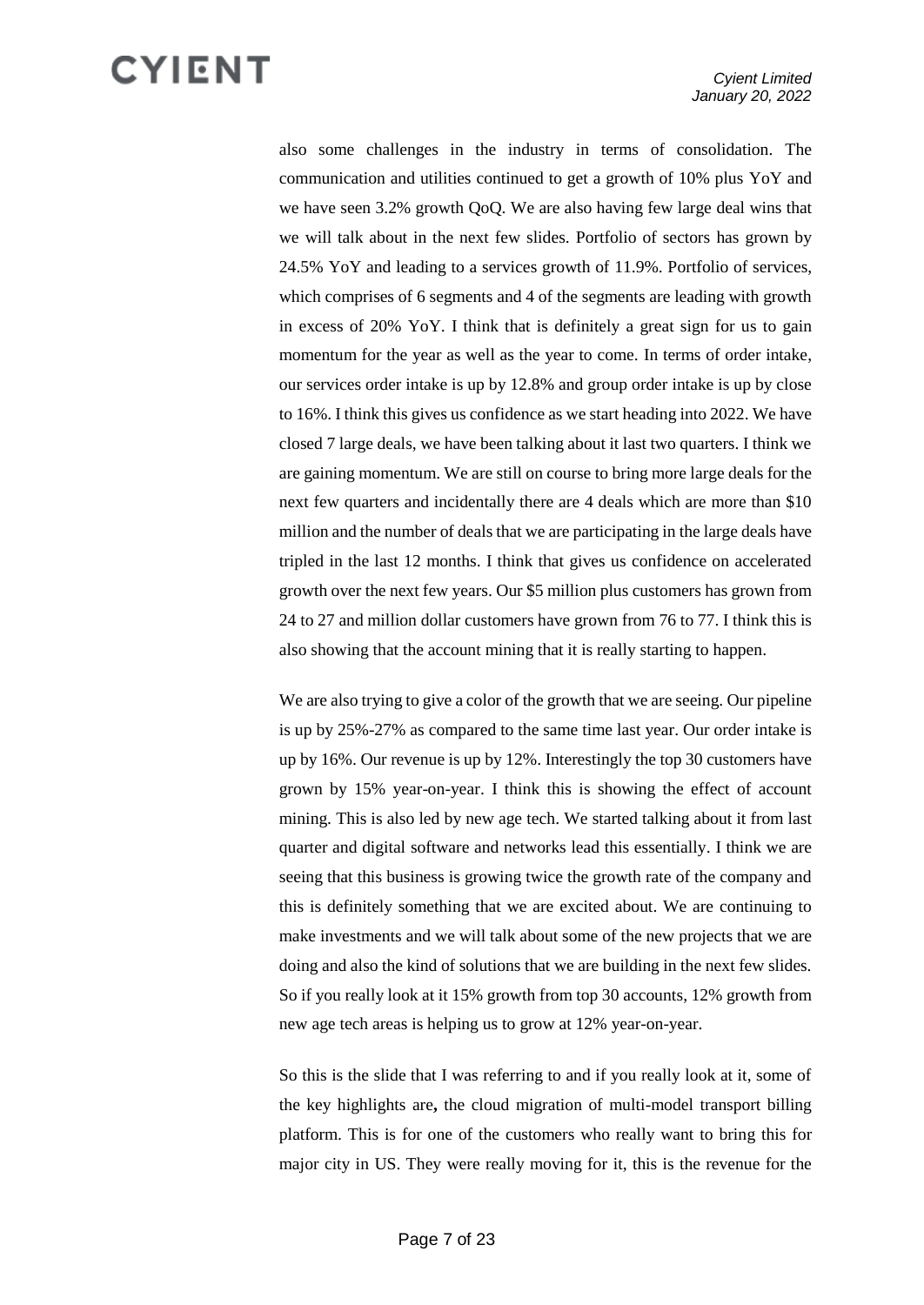also some challenges in the industry in terms of consolidation. The communication and utilities continued to get a growth of 10% plus YoY and we have seen 3.2% growth QoQ. We are also having few large deal wins that we will talk about in the next few slides. Portfolio of sectors has grown by 24.5% YoY and leading to a services growth of 11.9%. Portfolio of services, which comprises of 6 segments and 4 of the segments are leading with growth in excess of 20% YoY. I think that is definitely a great sign for us to gain momentum for the year as well as the year to come. In terms of order intake, our services order intake is up by 12.8% and group order intake is up by close to 16%. I think this gives us confidence as we start heading into 2022. We have closed 7 large deals, we have been talking about it last two quarters. I think we are gaining momentum. We are still on course to bring more large deals for the next few quarters and incidentally there are 4 deals which are more than \$10 million and the number of deals that we are participating in the large deals have tripled in the last 12 months. I think that gives us confidence on accelerated growth over the next few years. Our \$5 million plus customers has grown from 24 to 27 and million dollar customers have grown from 76 to 77. I think this is also showing that the account mining that it is really starting to happen.

We are also trying to give a color of the growth that we are seeing. Our pipeline is up by 25%-27% as compared to the same time last year. Our order intake is up by 16%. Our revenue is up by 12%. Interestingly the top 30 customers have grown by 15% year-on-year. I think this is showing the effect of account mining. This is also led by new age tech. We started talking about it from last quarter and digital software and networks lead this essentially. I think we are seeing that this business is growing twice the growth rate of the company and this is definitely something that we are excited about. We are continuing to make investments and we will talk about some of the new projects that we are doing and also the kind of solutions that we are building in the next few slides. So if you really look at it 15% growth from top 30 accounts, 12% growth from new age tech areas is helping us to grow at 12% year-on-year.

So this is the slide that I was referring to and if you really look at it, some of the key highlights are**,** the cloud migration of multi-model transport billing platform. This is for one of the customers who really want to bring this for major city in US. They were really moving for it, this is the revenue for the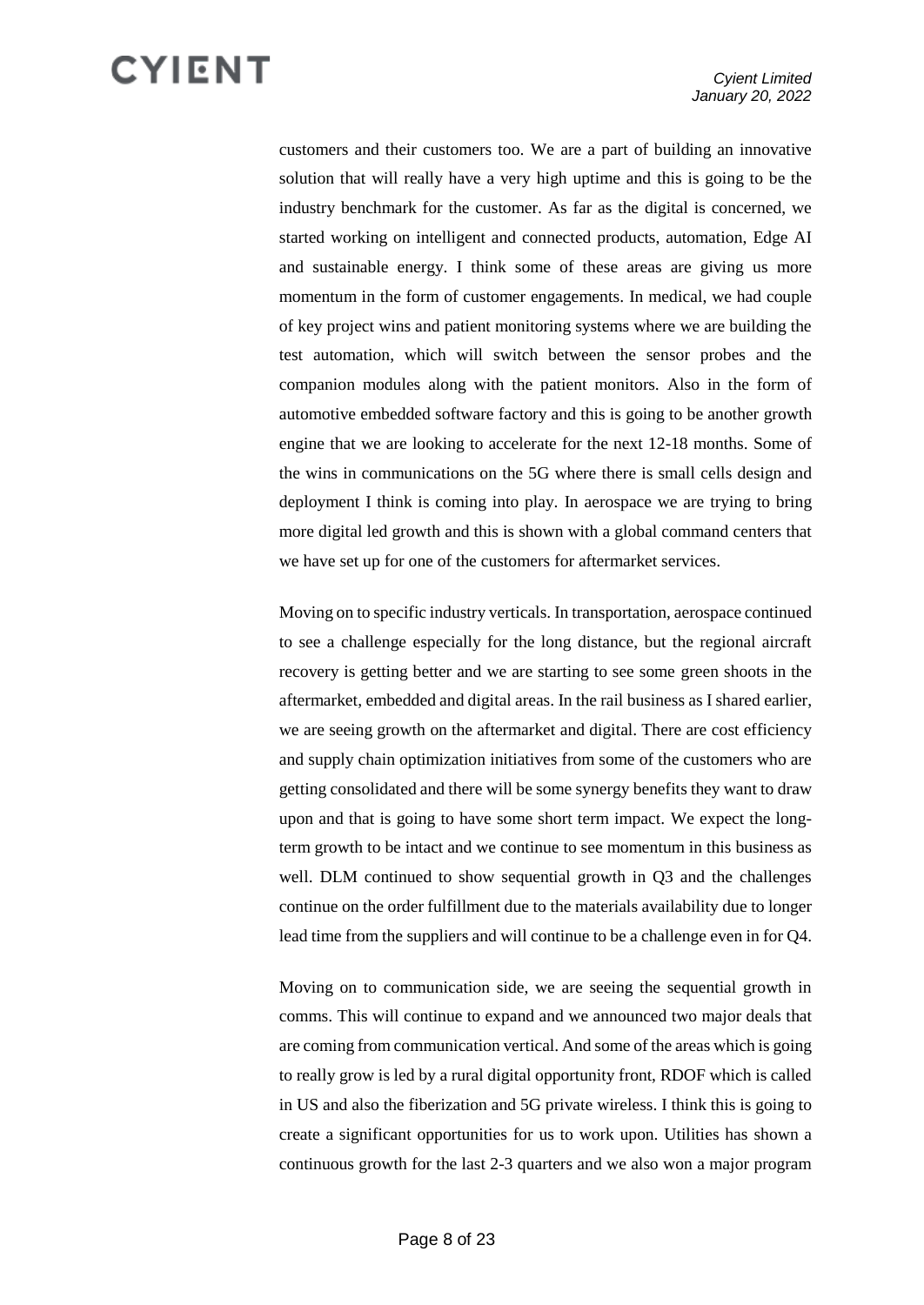customers and their customers too. We are a part of building an innovative solution that will really have a very high uptime and this is going to be the industry benchmark for the customer. As far as the digital is concerned, we started working on intelligent and connected products, automation, Edge AI and sustainable energy. I think some of these areas are giving us more momentum in the form of customer engagements. In medical, we had couple of key project wins and patient monitoring systems where we are building the test automation, which will switch between the sensor probes and the companion modules along with the patient monitors. Also in the form of automotive embedded software factory and this is going to be another growth engine that we are looking to accelerate for the next 12-18 months. Some of the wins in communications on the 5G where there is small cells design and deployment I think is coming into play. In aerospace we are trying to bring more digital led growth and this is shown with a global command centers that we have set up for one of the customers for aftermarket services.

Moving on to specific industry verticals. In transportation, aerospace continued to see a challenge especially for the long distance, but the regional aircraft recovery is getting better and we are starting to see some green shoots in the aftermarket, embedded and digital areas. In the rail business as I shared earlier, we are seeing growth on the aftermarket and digital. There are cost efficiency and supply chain optimization initiatives from some of the customers who are getting consolidated and there will be some synergy benefits they want to draw upon and that is going to have some short term impact. We expect the longterm growth to be intact and we continue to see momentum in this business as well. DLM continued to show sequential growth in Q3 and the challenges continue on the order fulfillment due to the materials availability due to longer lead time from the suppliers and will continue to be a challenge even in for Q4.

Moving on to communication side, we are seeing the sequential growth in comms. This will continue to expand and we announced two major deals that are coming from communication vertical. And some of the areas which is going to really grow is led by a rural digital opportunity front, RDOF which is called in US and also the fiberization and 5G private wireless. I think this is going to create a significant opportunities for us to work upon. Utilities has shown a continuous growth for the last 2-3 quarters and we also won a major program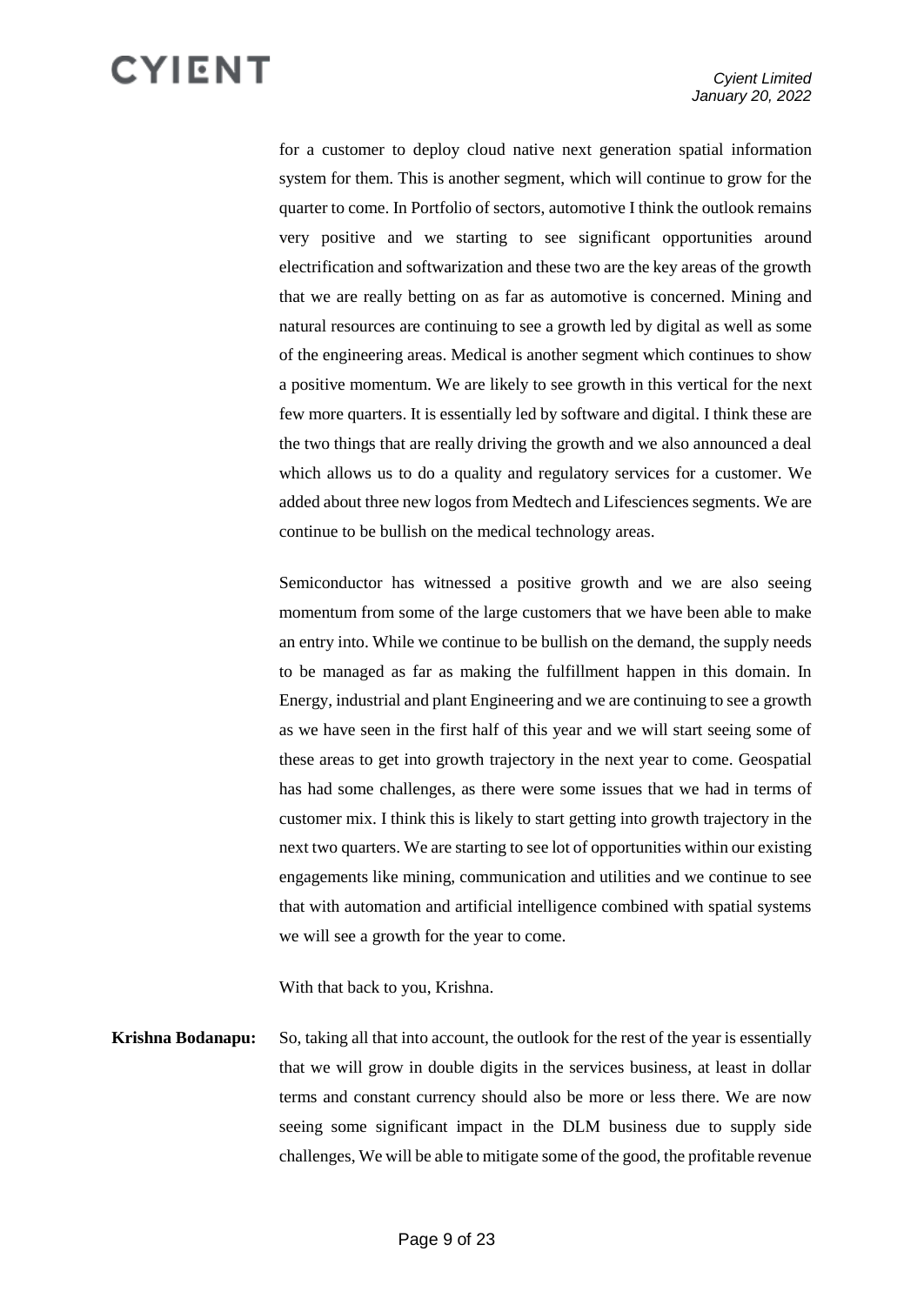for a customer to deploy cloud native next generation spatial information system for them. This is another segment, which will continue to grow for the quarter to come. In Portfolio of sectors, automotive I think the outlook remains very positive and we starting to see significant opportunities around electrification and softwarization and these two are the key areas of the growth that we are really betting on as far as automotive is concerned. Mining and natural resources are continuing to see a growth led by digital as well as some of the engineering areas. Medical is another segment which continues to show a positive momentum. We are likely to see growth in this vertical for the next few more quarters. It is essentially led by software and digital. I think these are the two things that are really driving the growth and we also announced a deal which allows us to do a quality and regulatory services for a customer. We added about three new logos from Medtech and Lifesciences segments. We are continue to be bullish on the medical technology areas.

Semiconductor has witnessed a positive growth and we are also seeing momentum from some of the large customers that we have been able to make an entry into. While we continue to be bullish on the demand, the supply needs to be managed as far as making the fulfillment happen in this domain. In Energy, industrial and plant Engineering and we are continuing to see a growth as we have seen in the first half of this year and we will start seeing some of these areas to get into growth trajectory in the next year to come. Geospatial has had some challenges, as there were some issues that we had in terms of customer mix. I think this is likely to start getting into growth trajectory in the next two quarters. We are starting to see lot of opportunities within our existing engagements like mining, communication and utilities and we continue to see that with automation and artificial intelligence combined with spatial systems we will see a growth for the year to come.

With that back to you, Krishna.

**Krishna Bodanapu:** So, taking all that into account, the outlook for the rest of the year is essentially that we will grow in double digits in the services business, at least in dollar terms and constant currency should also be more or less there. We are now seeing some significant impact in the DLM business due to supply side challenges, We will be able to mitigate some of the good, the profitable revenue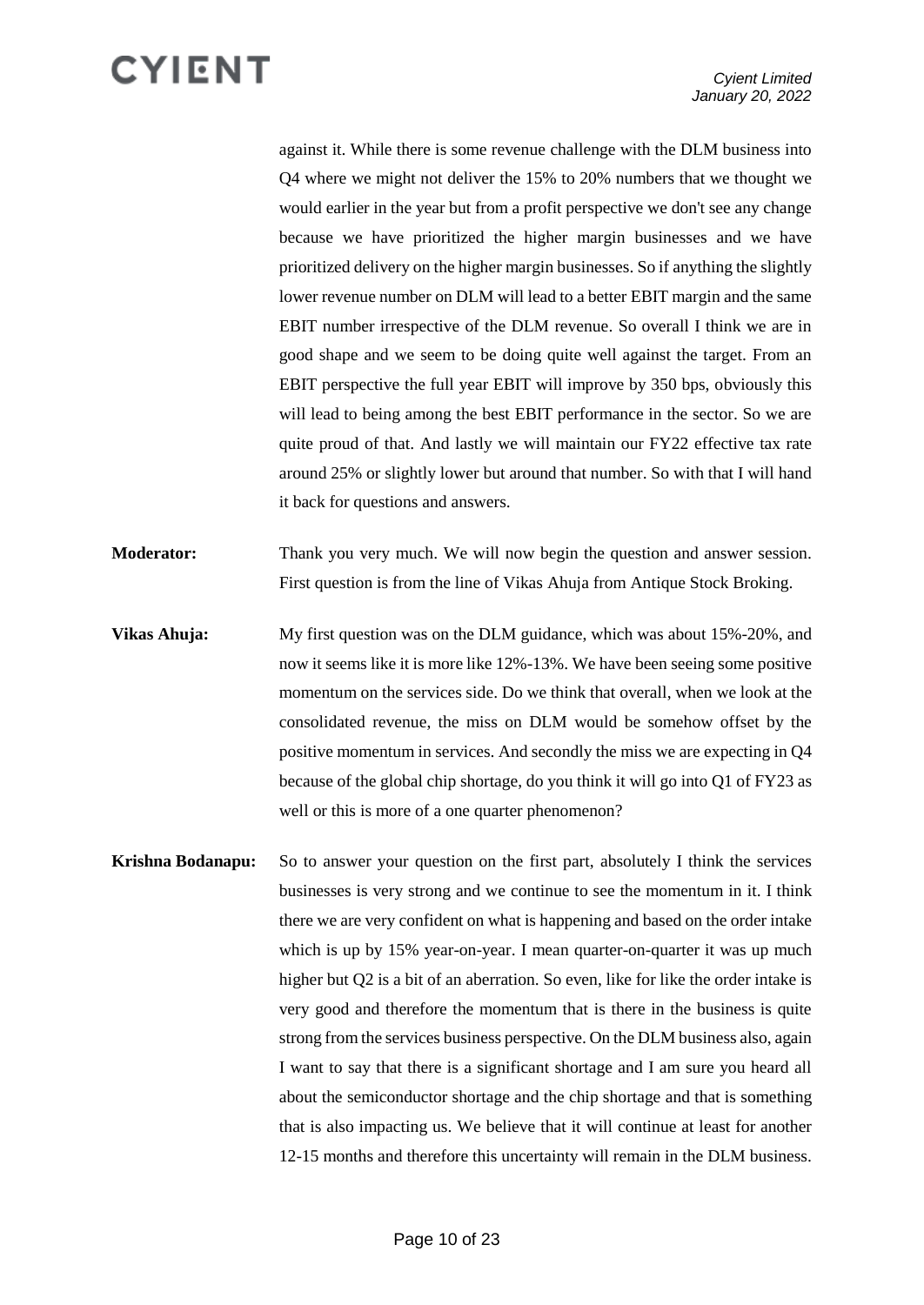against it. While there is some revenue challenge with the DLM business into Q4 where we might not deliver the 15% to 20% numbers that we thought we would earlier in the year but from a profit perspective we don't see any change because we have prioritized the higher margin businesses and we have prioritized delivery on the higher margin businesses. So if anything the slightly lower revenue number on DLM will lead to a better EBIT margin and the same EBIT number irrespective of the DLM revenue. So overall I think we are in good shape and we seem to be doing quite well against the target. From an EBIT perspective the full year EBIT will improve by 350 bps, obviously this will lead to being among the best EBIT performance in the sector. So we are quite proud of that. And lastly we will maintain our FY22 effective tax rate around 25% or slightly lower but around that number. So with that I will hand it back for questions and answers.

**Moderator:** Thank you very much. We will now begin the question and answer session. First question is from the line of Vikas Ahuja from Antique Stock Broking.

- **Vikas Ahuja:** My first question was on the DLM guidance, which was about 15%-20%, and now it seems like it is more like 12%-13%. We have been seeing some positive momentum on the services side. Do we think that overall, when we look at the consolidated revenue, the miss on DLM would be somehow offset by the positive momentum in services. And secondly the miss we are expecting in Q4 because of the global chip shortage, do you think it will go into Q1 of FY23 as well or this is more of a one quarter phenomenon?
- **Krishna Bodanapu:** So to answer your question on the first part, absolutely I think the services businesses is very strong and we continue to see the momentum in it. I think there we are very confident on what is happening and based on the order intake which is up by 15% year-on-year. I mean quarter-on-quarter it was up much higher but Q2 is a bit of an aberration. So even, like for like the order intake is very good and therefore the momentum that is there in the business is quite strong from the services business perspective. On the DLM business also, again I want to say that there is a significant shortage and I am sure you heard all about the semiconductor shortage and the chip shortage and that is something that is also impacting us. We believe that it will continue at least for another 12-15 months and therefore this uncertainty will remain in the DLM business.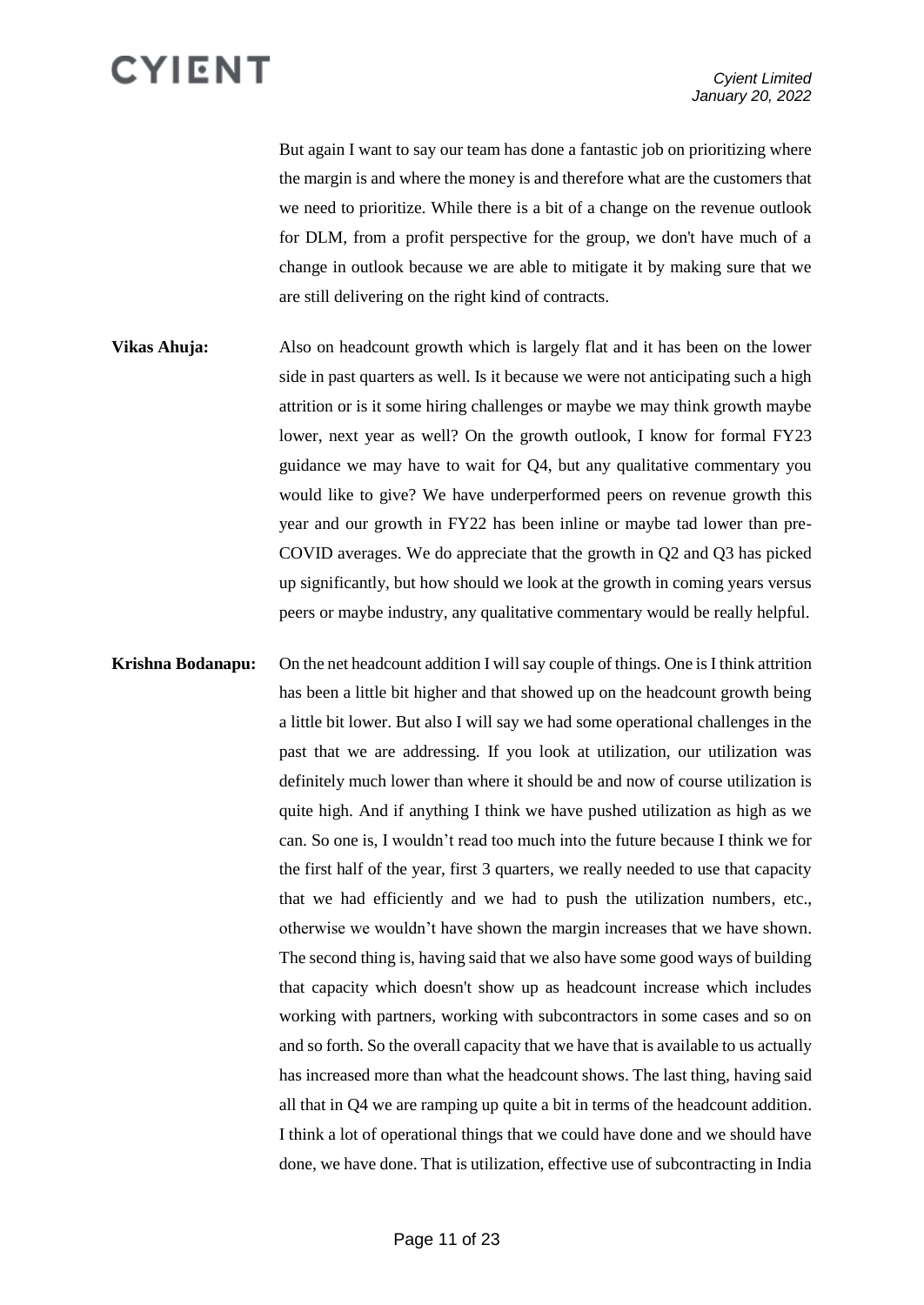But again I want to say our team has done a fantastic job on prioritizing where the margin is and where the money is and therefore what are the customers that we need to prioritize. While there is a bit of a change on the revenue outlook for DLM, from a profit perspective for the group, we don't have much of a change in outlook because we are able to mitigate it by making sure that we are still delivering on the right kind of contracts.

- **Vikas Ahuja:** Also on headcount growth which is largely flat and it has been on the lower side in past quarters as well. Is it because we were not anticipating such a high attrition or is it some hiring challenges or maybe we may think growth maybe lower, next year as well? On the growth outlook, I know for formal FY23 guidance we may have to wait for Q4, but any qualitative commentary you would like to give? We have underperformed peers on revenue growth this year and our growth in FY22 has been inline or maybe tad lower than pre-COVID averages. We do appreciate that the growth in Q2 and Q3 has picked up significantly, but how should we look at the growth in coming years versus peers or maybe industry, any qualitative commentary would be really helpful.
- **Krishna Bodanapu:** On the net headcount addition I will say couple of things. One is I think attrition has been a little bit higher and that showed up on the headcount growth being a little bit lower. But also I will say we had some operational challenges in the past that we are addressing. If you look at utilization, our utilization was definitely much lower than where it should be and now of course utilization is quite high. And if anything I think we have pushed utilization as high as we can. So one is, I wouldn't read too much into the future because I think we for the first half of the year, first 3 quarters, we really needed to use that capacity that we had efficiently and we had to push the utilization numbers, etc., otherwise we wouldn't have shown the margin increases that we have shown. The second thing is, having said that we also have some good ways of building that capacity which doesn't show up as headcount increase which includes working with partners, working with subcontractors in some cases and so on and so forth. So the overall capacity that we have that is available to us actually has increased more than what the headcount shows. The last thing, having said all that in Q4 we are ramping up quite a bit in terms of the headcount addition. I think a lot of operational things that we could have done and we should have done, we have done. That is utilization, effective use of subcontracting in India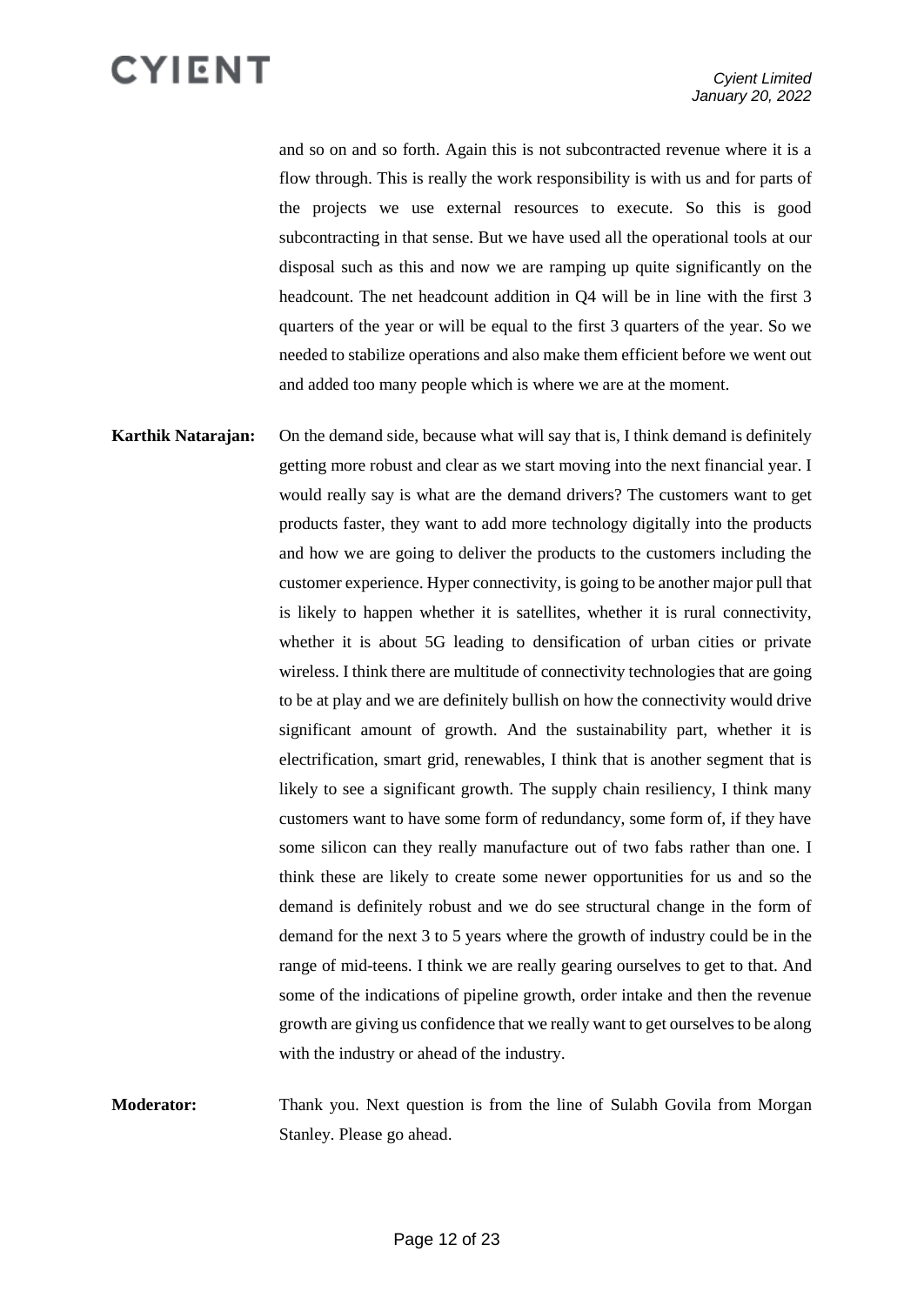and so on and so forth. Again this is not subcontracted revenue where it is a flow through. This is really the work responsibility is with us and for parts of the projects we use external resources to execute. So this is good subcontracting in that sense. But we have used all the operational tools at our disposal such as this and now we are ramping up quite significantly on the headcount. The net headcount addition in Q4 will be in line with the first 3 quarters of the year or will be equal to the first 3 quarters of the year. So we needed to stabilize operations and also make them efficient before we went out and added too many people which is where we are at the moment.

**Karthik Natarajan:** On the demand side, because what will say that is, I think demand is definitely getting more robust and clear as we start moving into the next financial year. I would really say is what are the demand drivers? The customers want to get products faster, they want to add more technology digitally into the products and how we are going to deliver the products to the customers including the customer experience. Hyper connectivity, is going to be another major pull that is likely to happen whether it is satellites, whether it is rural connectivity, whether it is about 5G leading to densification of urban cities or private wireless. I think there are multitude of connectivity technologies that are going to be at play and we are definitely bullish on how the connectivity would drive significant amount of growth. And the sustainability part, whether it is electrification, smart grid, renewables, I think that is another segment that is likely to see a significant growth. The supply chain resiliency, I think many customers want to have some form of redundancy, some form of, if they have some silicon can they really manufacture out of two fabs rather than one. I think these are likely to create some newer opportunities for us and so the demand is definitely robust and we do see structural change in the form of demand for the next 3 to 5 years where the growth of industry could be in the range of mid-teens. I think we are really gearing ourselves to get to that. And some of the indications of pipeline growth, order intake and then the revenue growth are giving us confidence that we really want to get ourselves to be along with the industry or ahead of the industry.

**Moderator:** Thank you. Next question is from the line of Sulabh Govila from Morgan Stanley. Please go ahead.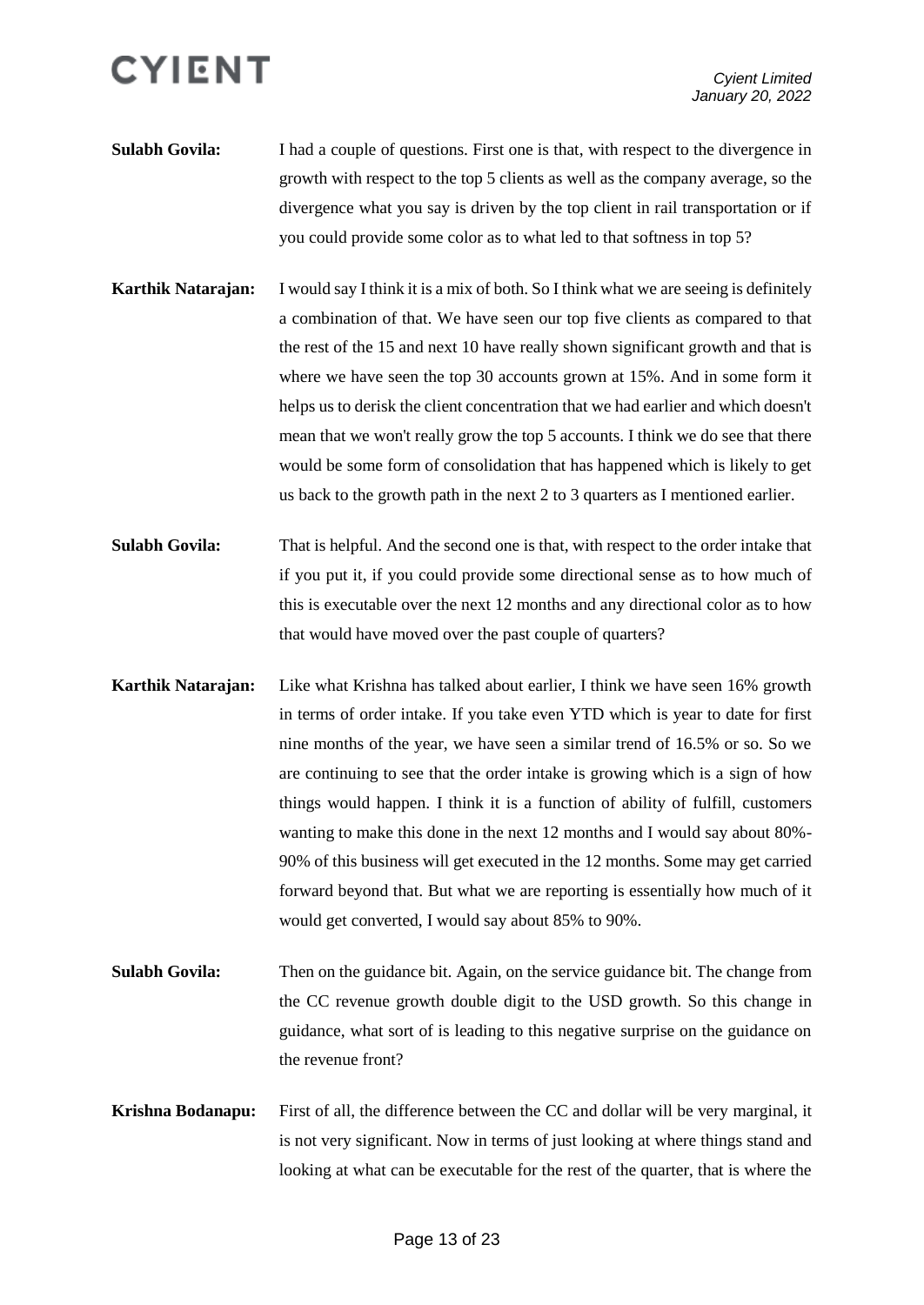- **Sulabh Govila:** I had a couple of questions. First one is that, with respect to the divergence in growth with respect to the top 5 clients as well as the company average, so the divergence what you say is driven by the top client in rail transportation or if you could provide some color as to what led to that softness in top 5?
- **Karthik Natarajan:** I would say I think it is a mix of both. So I think what we are seeing is definitely a combination of that. We have seen our top five clients as compared to that the rest of the 15 and next 10 have really shown significant growth and that is where we have seen the top 30 accounts grown at 15%. And in some form it helps us to derisk the client concentration that we had earlier and which doesn't mean that we won't really grow the top 5 accounts. I think we do see that there would be some form of consolidation that has happened which is likely to get us back to the growth path in the next 2 to 3 quarters as I mentioned earlier.
- **Sulabh Govila:** That is helpful. And the second one is that, with respect to the order intake that if you put it, if you could provide some directional sense as to how much of this is executable over the next 12 months and any directional color as to how that would have moved over the past couple of quarters?
- **Karthik Natarajan:** Like what Krishna has talked about earlier, I think we have seen 16% growth in terms of order intake. If you take even YTD which is year to date for first nine months of the year, we have seen a similar trend of 16.5% or so. So we are continuing to see that the order intake is growing which is a sign of how things would happen. I think it is a function of ability of fulfill, customers wanting to make this done in the next 12 months and I would say about 80%- 90% of this business will get executed in the 12 months. Some may get carried forward beyond that. But what we are reporting is essentially how much of it would get converted, I would say about 85% to 90%.
- **Sulabh Govila:** Then on the guidance bit. Again, on the service guidance bit. The change from the CC revenue growth double digit to the USD growth. So this change in guidance, what sort of is leading to this negative surprise on the guidance on the revenue front?
- **Krishna Bodanapu:** First of all, the difference between the CC and dollar will be very marginal, it is not very significant. Now in terms of just looking at where things stand and looking at what can be executable for the rest of the quarter, that is where the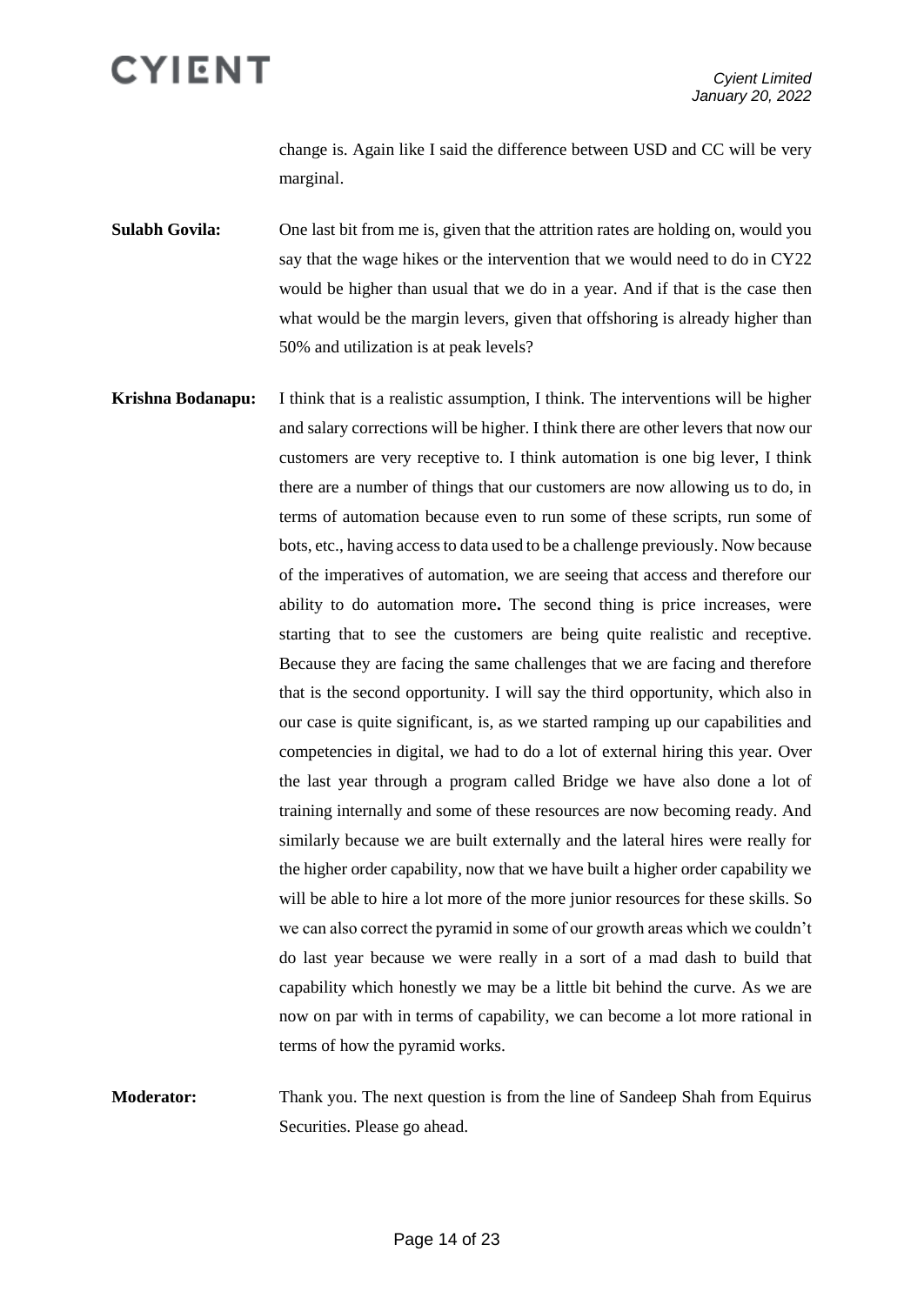change is. Again like I said the difference between USD and CC will be very marginal.

**Sulabh Govila:** One last bit from me is, given that the attrition rates are holding on, would you say that the wage hikes or the intervention that we would need to do in CY22 would be higher than usual that we do in a year. And if that is the case then what would be the margin levers, given that offshoring is already higher than 50% and utilization is at peak levels?

- **Krishna Bodanapu:** I think that is a realistic assumption, I think. The interventions will be higher and salary corrections will be higher. I think there are other levers that now our customers are very receptive to. I think automation is one big lever, I think there are a number of things that our customers are now allowing us to do, in terms of automation because even to run some of these scripts, run some of bots, etc., having access to data used to be a challenge previously. Now because of the imperatives of automation, we are seeing that access and therefore our ability to do automation more**.** The second thing is price increases, were starting that to see the customers are being quite realistic and receptive. Because they are facing the same challenges that we are facing and therefore that is the second opportunity. I will say the third opportunity, which also in our case is quite significant, is, as we started ramping up our capabilities and competencies in digital, we had to do a lot of external hiring this year. Over the last year through a program called Bridge we have also done a lot of training internally and some of these resources are now becoming ready. And similarly because we are built externally and the lateral hires were really for the higher order capability, now that we have built a higher order capability we will be able to hire a lot more of the more junior resources for these skills. So we can also correct the pyramid in some of our growth areas which we couldn't do last year because we were really in a sort of a mad dash to build that capability which honestly we may be a little bit behind the curve. As we are now on par with in terms of capability, we can become a lot more rational in terms of how the pyramid works.
- **Moderator:** Thank you. The next question is from the line of Sandeep Shah from Equirus Securities. Please go ahead.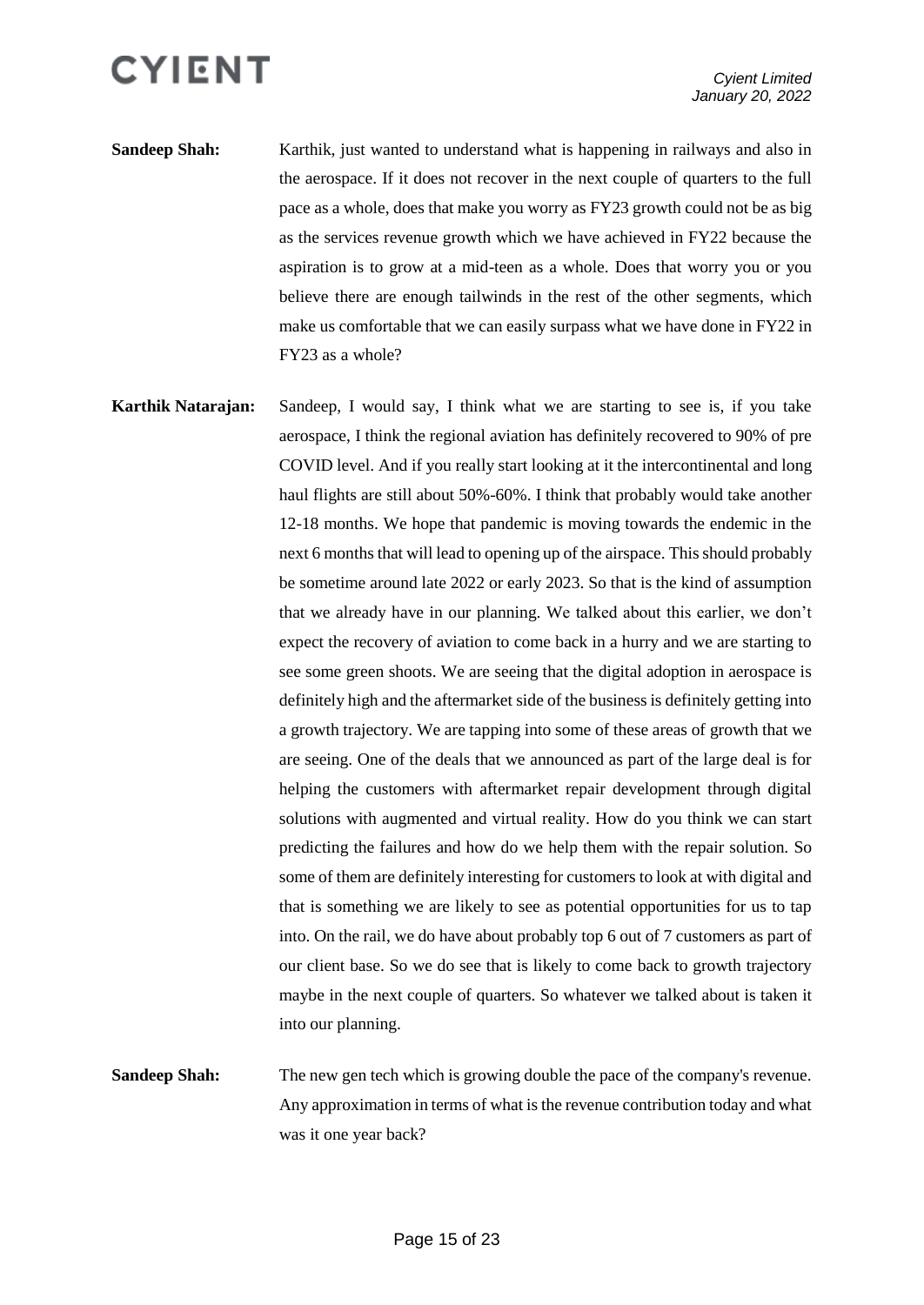- **Sandeep Shah:** Karthik, just wanted to understand what is happening in railways and also in the aerospace. If it does not recover in the next couple of quarters to the full pace as a whole, does that make you worry as FY23 growth could not be as big as the services revenue growth which we have achieved in FY22 because the aspiration is to grow at a mid-teen as a whole. Does that worry you or you believe there are enough tailwinds in the rest of the other segments, which make us comfortable that we can easily surpass what we have done in FY22 in FY23 as a whole?
- **Karthik Natarajan:** Sandeep, I would say, I think what we are starting to see is, if you take aerospace, I think the regional aviation has definitely recovered to 90% of pre COVID level. And if you really start looking at it the intercontinental and long haul flights are still about 50%-60%. I think that probably would take another 12-18 months. We hope that pandemic is moving towards the endemic in the next 6 months that will lead to opening up of the airspace. This should probably be sometime around late 2022 or early 2023. So that is the kind of assumption that we already have in our planning. We talked about this earlier, we don't expect the recovery of aviation to come back in a hurry and we are starting to see some green shoots. We are seeing that the digital adoption in aerospace is definitely high and the aftermarket side of the business is definitely getting into a growth trajectory. We are tapping into some of these areas of growth that we are seeing. One of the deals that we announced as part of the large deal is for helping the customers with aftermarket repair development through digital solutions with augmented and virtual reality. How do you think we can start predicting the failures and how do we help them with the repair solution. So some of them are definitely interesting for customers to look at with digital and that is something we are likely to see as potential opportunities for us to tap into. On the rail, we do have about probably top 6 out of 7 customers as part of our client base. So we do see that is likely to come back to growth trajectory maybe in the next couple of quarters. So whatever we talked about is taken it into our planning.

**Sandeep Shah:** The new gen tech which is growing double the pace of the company's revenue. Any approximation in terms of what is the revenue contribution today and what was it one year back?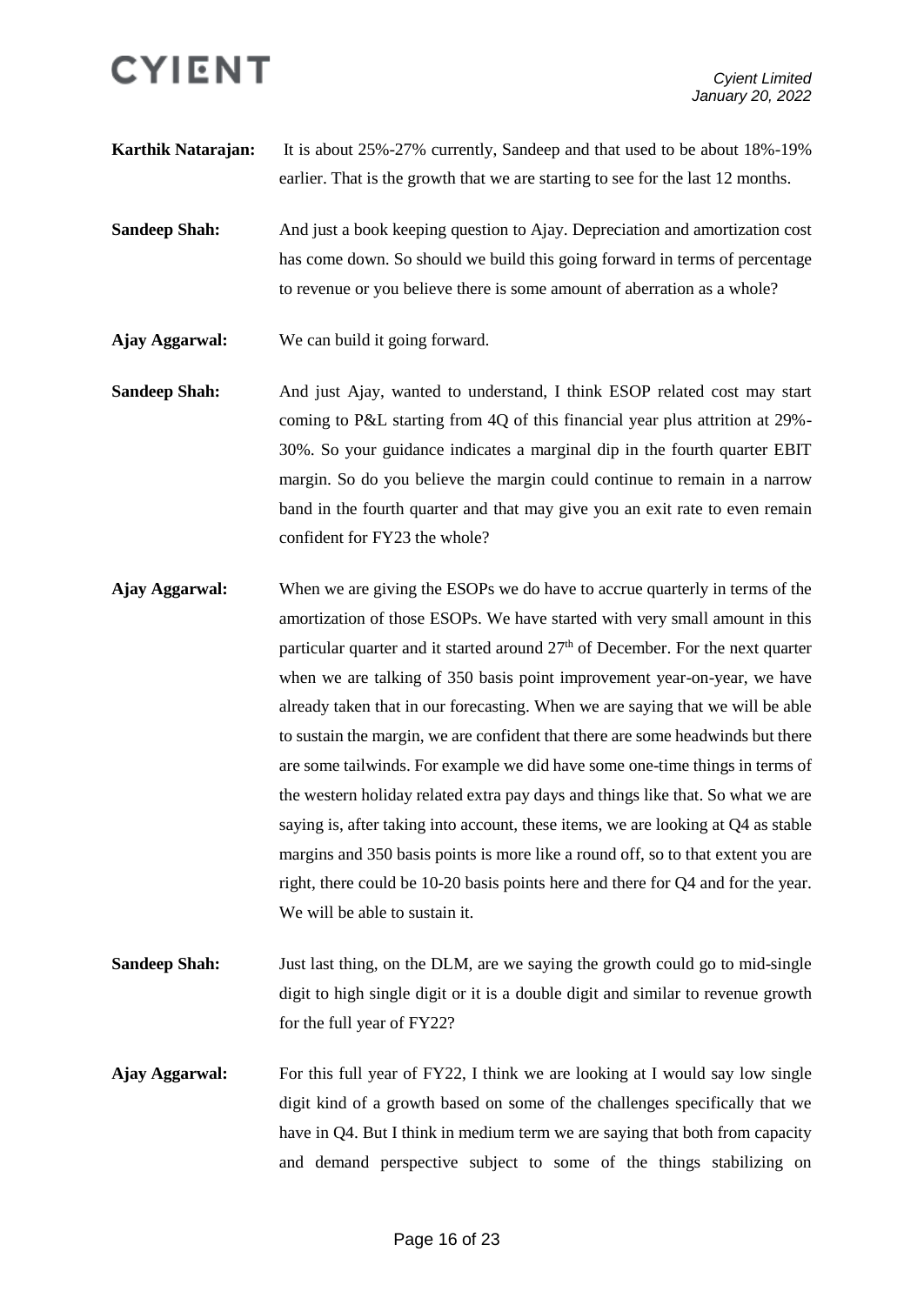**Karthik Natarajan:** It is about 25%-27% currently, Sandeep and that used to be about 18%-19% earlier. That is the growth that we are starting to see for the last 12 months.

**Sandeep Shah:** And just a book keeping question to Ajay. Depreciation and amortization cost has come down. So should we build this going forward in terms of percentage to revenue or you believe there is some amount of aberration as a whole?

**Ajay Aggarwal:** We can build it going forward.

**Sandeep Shah:** And just Ajay, wanted to understand, I think ESOP related cost may start coming to P&L starting from 4Q of this financial year plus attrition at 29%- 30%. So your guidance indicates a marginal dip in the fourth quarter EBIT margin. So do you believe the margin could continue to remain in a narrow band in the fourth quarter and that may give you an exit rate to even remain confident for FY23 the whole?

**Ajay Aggarwal:** When we are giving the ESOPs we do have to accrue quarterly in terms of the amortization of those ESOPs. We have started with very small amount in this particular quarter and it started around  $27<sup>th</sup>$  of December. For the next quarter when we are talking of 350 basis point improvement year-on-year, we have already taken that in our forecasting. When we are saying that we will be able to sustain the margin, we are confident that there are some headwinds but there are some tailwinds. For example we did have some one-time things in terms of the western holiday related extra pay days and things like that. So what we are saying is, after taking into account, these items, we are looking at Q4 as stable margins and 350 basis points is more like a round off, so to that extent you are right, there could be 10-20 basis points here and there for Q4 and for the year. We will be able to sustain it.

**Sandeep Shah:** Just last thing, on the DLM, are we saying the growth could go to mid-single digit to high single digit or it is a double digit and similar to revenue growth for the full year of FY22?

**Ajay Aggarwal:** For this full year of FY22, I think we are looking at I would say low single digit kind of a growth based on some of the challenges specifically that we have in Q4. But I think in medium term we are saying that both from capacity and demand perspective subject to some of the things stabilizing on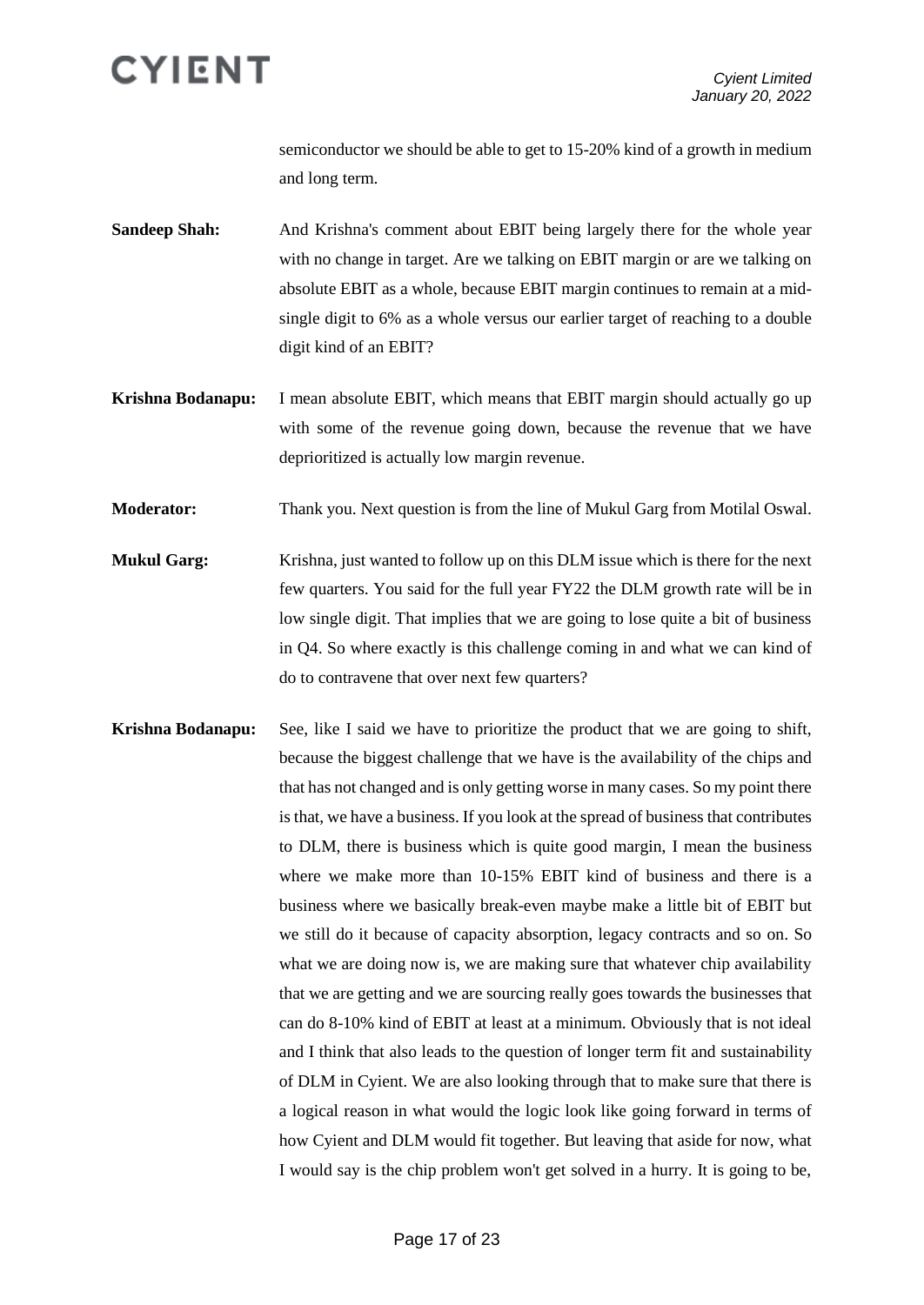

semiconductor we should be able to get to 15-20% kind of a growth in medium and long term.

- **Sandeep Shah:** And Krishna's comment about EBIT being largely there for the whole year with no change in target. Are we talking on EBIT margin or are we talking on absolute EBIT as a whole, because EBIT margin continues to remain at a midsingle digit to 6% as a whole versus our earlier target of reaching to a double digit kind of an EBIT?
- **Krishna Bodanapu:** I mean absolute EBIT, which means that EBIT margin should actually go up with some of the revenue going down, because the revenue that we have deprioritized is actually low margin revenue.

**Moderator:** Thank you. Next question is from the line of Mukul Garg from Motilal Oswal.

- **Mukul Garg:** Krishna, just wanted to follow up on this DLM issue which is there for the next few quarters. You said for the full year FY22 the DLM growth rate will be in low single digit. That implies that we are going to lose quite a bit of business in Q4. So where exactly is this challenge coming in and what we can kind of do to contravene that over next few quarters?
- **Krishna Bodanapu:** See, like I said we have to prioritize the product that we are going to shift, because the biggest challenge that we have is the availability of the chips and that has not changed and is only getting worse in many cases. So my point there is that, we have a business. If you look at the spread of business that contributes to DLM, there is business which is quite good margin, I mean the business where we make more than 10-15% EBIT kind of business and there is a business where we basically break-even maybe make a little bit of EBIT but we still do it because of capacity absorption, legacy contracts and so on. So what we are doing now is, we are making sure that whatever chip availability that we are getting and we are sourcing really goes towards the businesses that can do 8-10% kind of EBIT at least at a minimum. Obviously that is not ideal and I think that also leads to the question of longer term fit and sustainability of DLM in Cyient. We are also looking through that to make sure that there is a logical reason in what would the logic look like going forward in terms of how Cyient and DLM would fit together. But leaving that aside for now, what I would say is the chip problem won't get solved in a hurry. It is going to be,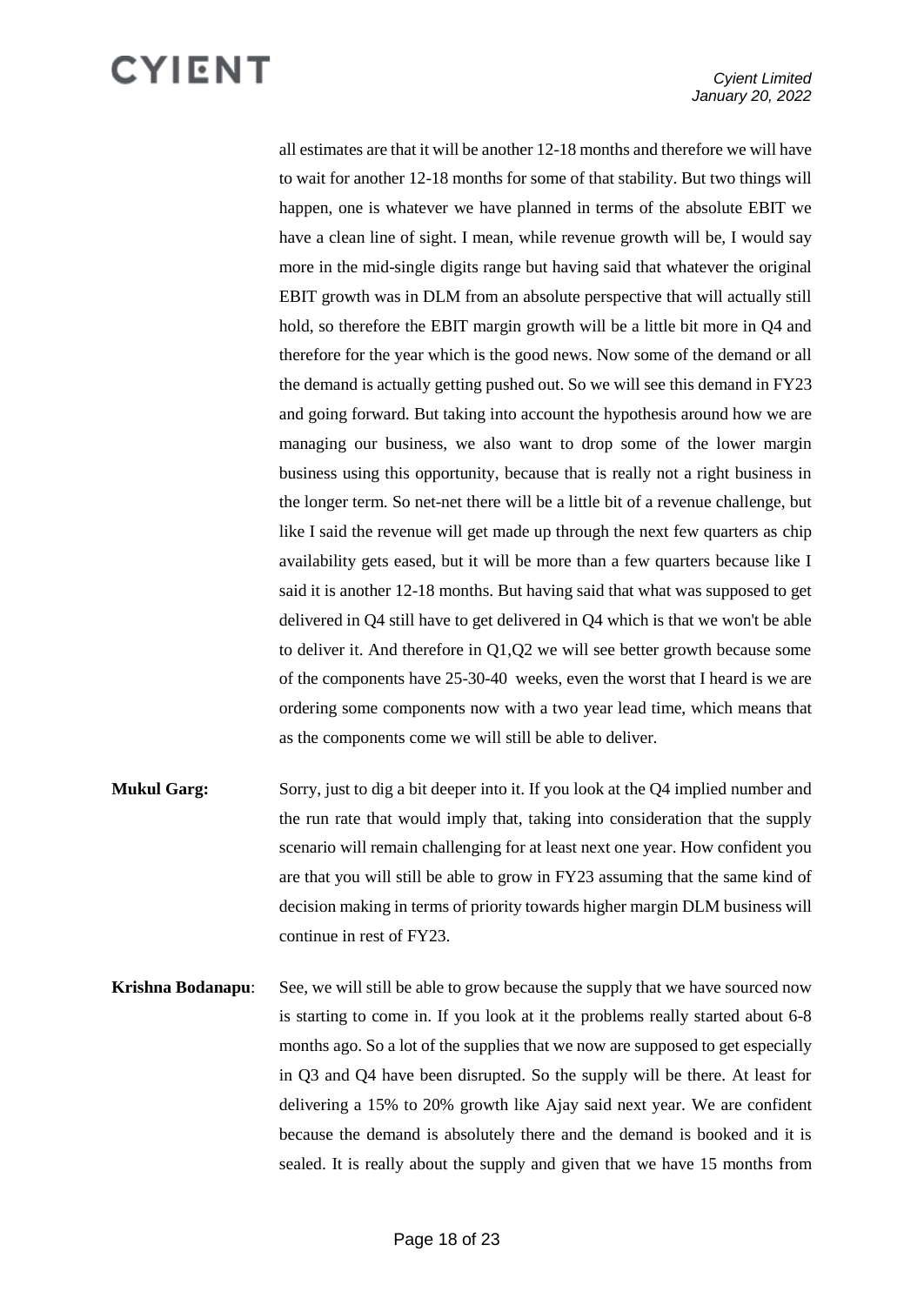all estimates are that it will be another 12-18 months and therefore we will have to wait for another 12-18 months for some of that stability. But two things will happen, one is whatever we have planned in terms of the absolute EBIT we have a clean line of sight. I mean, while revenue growth will be, I would say more in the mid-single digits range but having said that whatever the original EBIT growth was in DLM from an absolute perspective that will actually still hold, so therefore the EBIT margin growth will be a little bit more in Q4 and therefore for the year which is the good news. Now some of the demand or all the demand is actually getting pushed out. So we will see this demand in FY23 and going forward. But taking into account the hypothesis around how we are managing our business, we also want to drop some of the lower margin business using this opportunity, because that is really not a right business in the longer term. So net-net there will be a little bit of a revenue challenge, but like I said the revenue will get made up through the next few quarters as chip availability gets eased, but it will be more than a few quarters because like I said it is another 12-18 months. But having said that what was supposed to get delivered in Q4 still have to get delivered in Q4 which is that we won't be able to deliver it. And therefore in Q1,Q2 we will see better growth because some of the components have 25-30-40 weeks, even the worst that I heard is we are ordering some components now with a two year lead time, which means that as the components come we will still be able to deliver.

- **Mukul Garg:** Sorry, just to dig a bit deeper into it. If you look at the Q4 implied number and the run rate that would imply that, taking into consideration that the supply scenario will remain challenging for at least next one year. How confident you are that you will still be able to grow in FY23 assuming that the same kind of decision making in terms of priority towards higher margin DLM business will continue in rest of FY23.
- **Krishna Bodanapu:** See, we will still be able to grow because the supply that we have sourced now is starting to come in. If you look at it the problems really started about 6-8 months ago. So a lot of the supplies that we now are supposed to get especially in Q3 and Q4 have been disrupted. So the supply will be there. At least for delivering a 15% to 20% growth like Ajay said next year. We are confident because the demand is absolutely there and the demand is booked and it is sealed. It is really about the supply and given that we have 15 months from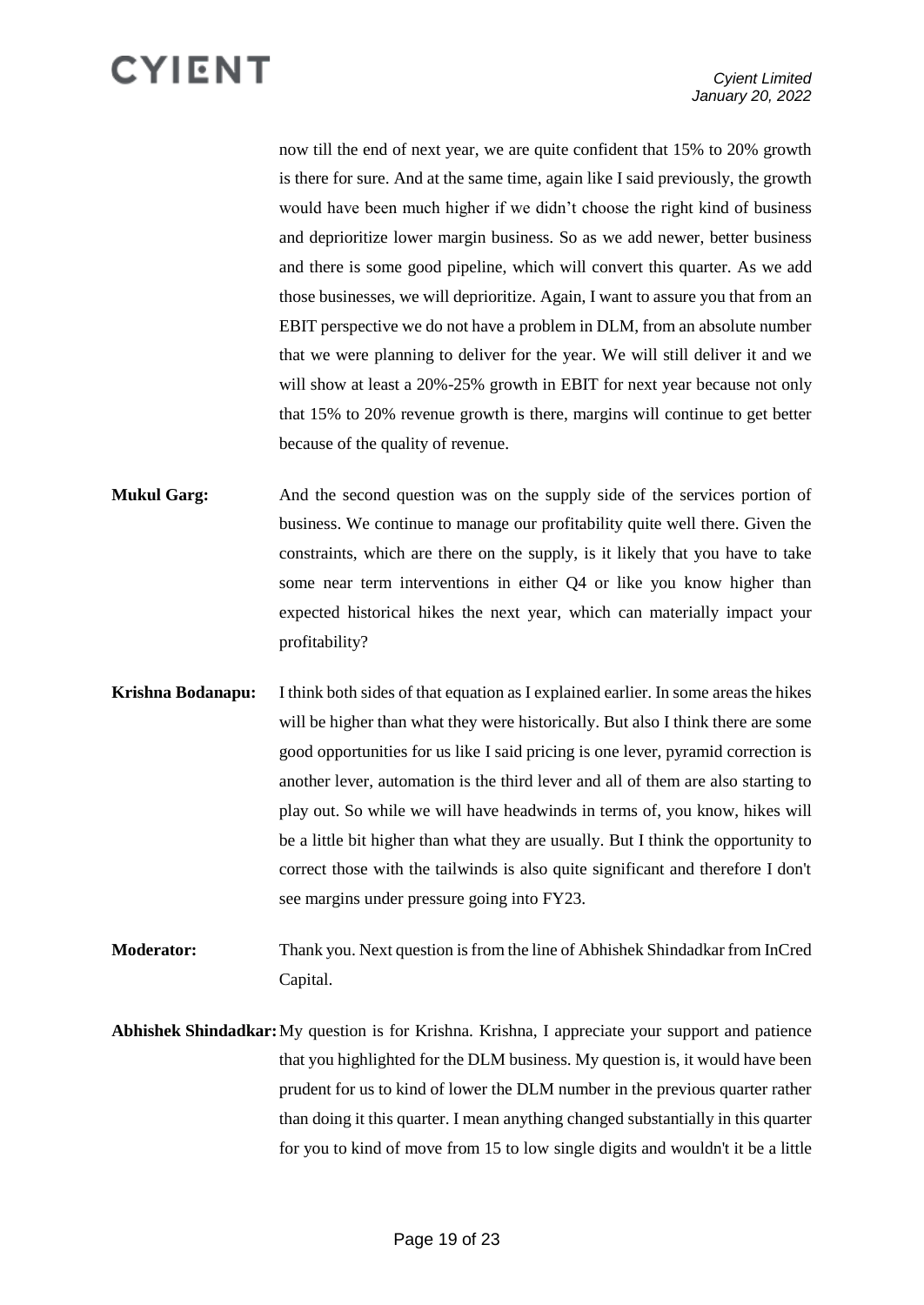now till the end of next year, we are quite confident that 15% to 20% growth is there for sure. And at the same time, again like I said previously, the growth would have been much higher if we didn't choose the right kind of business and deprioritize lower margin business. So as we add newer, better business and there is some good pipeline, which will convert this quarter. As we add those businesses, we will deprioritize. Again, I want to assure you that from an EBIT perspective we do not have a problem in DLM, from an absolute number that we were planning to deliver for the year. We will still deliver it and we will show at least a 20%-25% growth in EBIT for next year because not only that 15% to 20% revenue growth is there, margins will continue to get better because of the quality of revenue.

**Mukul Garg:** And the second question was on the supply side of the services portion of business. We continue to manage our profitability quite well there. Given the constraints, which are there on the supply, is it likely that you have to take some near term interventions in either Q4 or like you know higher than expected historical hikes the next year, which can materially impact your profitability?

- **Krishna Bodanapu:** I think both sides of that equation as I explained earlier. In some areas the hikes will be higher than what they were historically. But also I think there are some good opportunities for us like I said pricing is one lever, pyramid correction is another lever, automation is the third lever and all of them are also starting to play out. So while we will have headwinds in terms of, you know, hikes will be a little bit higher than what they are usually. But I think the opportunity to correct those with the tailwinds is also quite significant and therefore I don't see margins under pressure going into FY23.
- **Moderator:** Thank you. Next question is from the line of Abhishek Shindadkar from InCred Capital.
- **Abhishek Shindadkar:**My question is for Krishna. Krishna, I appreciate your support and patience that you highlighted for the DLM business. My question is, it would have been prudent for us to kind of lower the DLM number in the previous quarter rather than doing it this quarter. I mean anything changed substantially in this quarter for you to kind of move from 15 to low single digits and wouldn't it be a little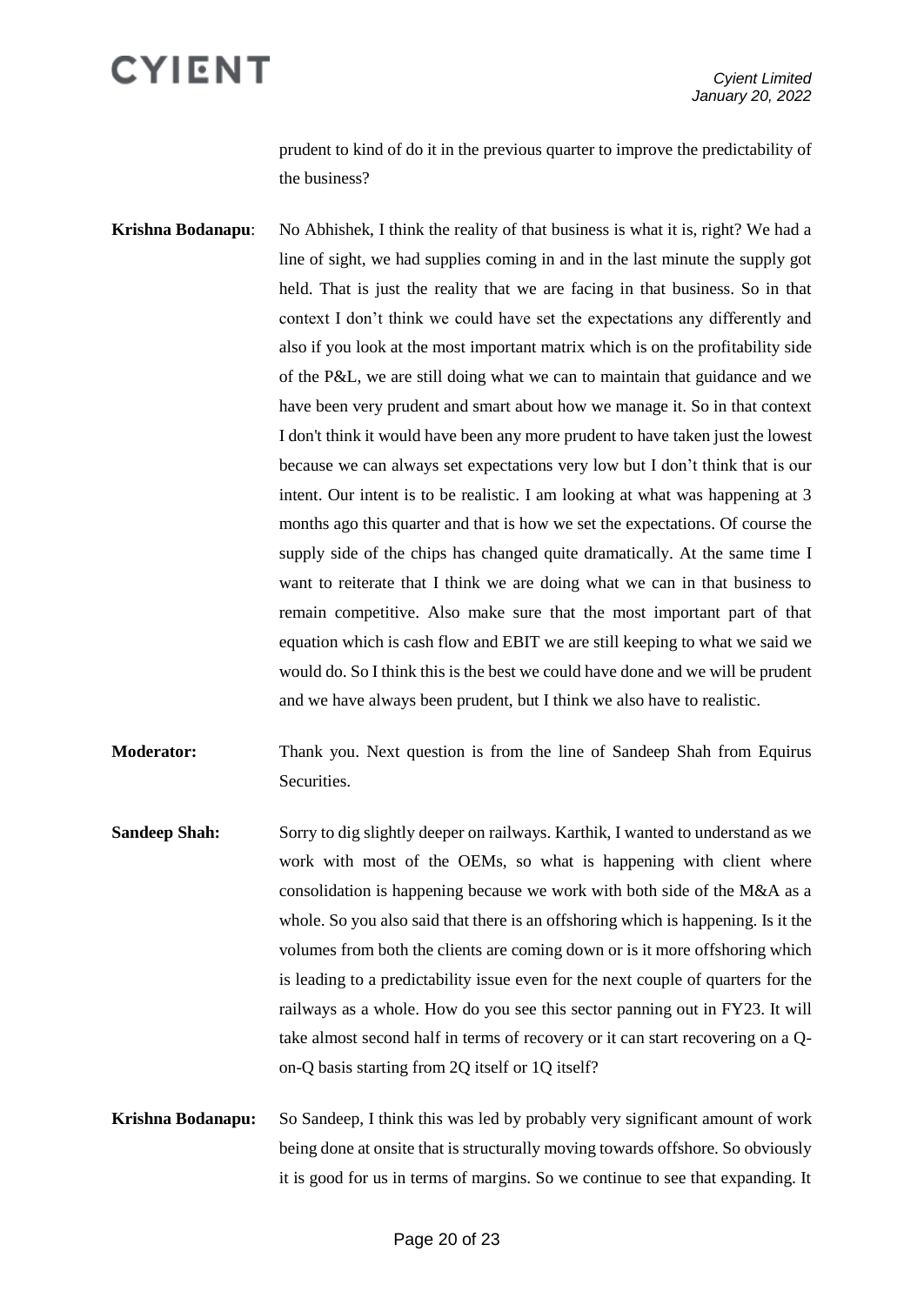prudent to kind of do it in the previous quarter to improve the predictability of the business?

**Krishna Bodanapu**: No Abhishek, I think the reality of that business is what it is, right? We had a line of sight, we had supplies coming in and in the last minute the supply got held. That is just the reality that we are facing in that business. So in that context I don't think we could have set the expectations any differently and also if you look at the most important matrix which is on the profitability side of the P&L, we are still doing what we can to maintain that guidance and we have been very prudent and smart about how we manage it. So in that context I don't think it would have been any more prudent to have taken just the lowest because we can always set expectations very low but I don't think that is our intent. Our intent is to be realistic. I am looking at what was happening at 3 months ago this quarter and that is how we set the expectations. Of course the supply side of the chips has changed quite dramatically. At the same time I want to reiterate that I think we are doing what we can in that business to remain competitive. Also make sure that the most important part of that equation which is cash flow and EBIT we are still keeping to what we said we would do. So I think this is the best we could have done and we will be prudent and we have always been prudent, but I think we also have to realistic.

**Moderator:** Thank you. Next question is from the line of Sandeep Shah from Equirus Securities.

- **Sandeep Shah:** Sorry to dig slightly deeper on railways. Karthik, I wanted to understand as we work with most of the OEMs, so what is happening with client where consolidation is happening because we work with both side of the M&A as a whole. So you also said that there is an offshoring which is happening. Is it the volumes from both the clients are coming down or is it more offshoring which is leading to a predictability issue even for the next couple of quarters for the railways as a whole. How do you see this sector panning out in FY23. It will take almost second half in terms of recovery or it can start recovering on a Qon-Q basis starting from 2Q itself or 1Q itself?
- **Krishna Bodanapu:** So Sandeep, I think this was led by probably very significant amount of work being done at onsite that is structurally moving towards offshore. So obviously it is good for us in terms of margins. So we continue to see that expanding. It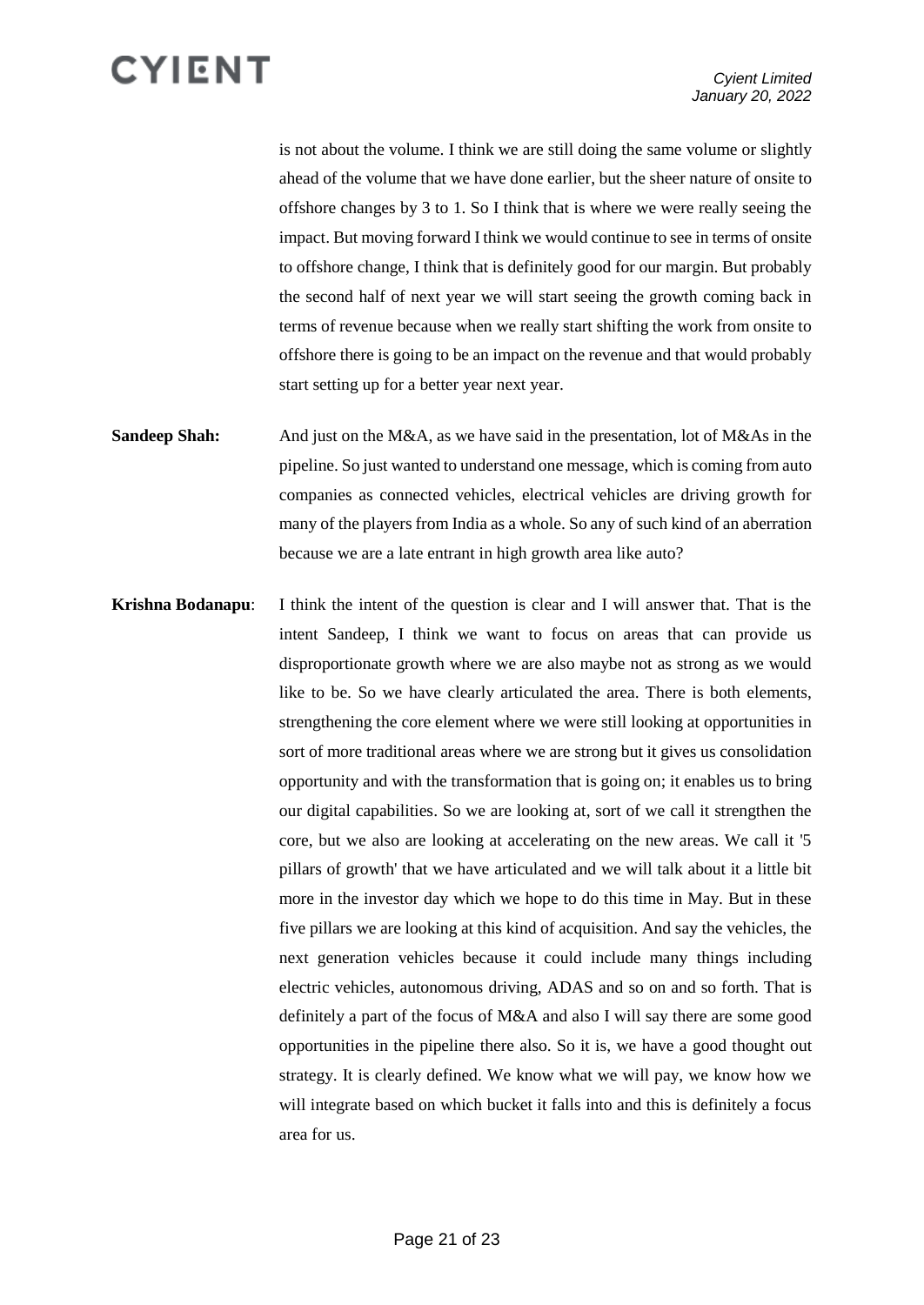is not about the volume. I think we are still doing the same volume or slightly ahead of the volume that we have done earlier, but the sheer nature of onsite to offshore changes by 3 to 1. So I think that is where we were really seeing the impact. But moving forward I think we would continue to see in terms of onsite to offshore change, I think that is definitely good for our margin. But probably the second half of next year we will start seeing the growth coming back in terms of revenue because when we really start shifting the work from onsite to offshore there is going to be an impact on the revenue and that would probably start setting up for a better year next year.

- **Sandeep Shah:** And just on the M&A, as we have said in the presentation, lot of M&As in the pipeline. So just wanted to understand one message, which is coming from auto companies as connected vehicles, electrical vehicles are driving growth for many of the players from India as a whole. So any of such kind of an aberration because we are a late entrant in high growth area like auto?
- **Krishna Bodanapu**: I think the intent of the question is clear and I will answer that. That is the intent Sandeep, I think we want to focus on areas that can provide us disproportionate growth where we are also maybe not as strong as we would like to be. So we have clearly articulated the area. There is both elements, strengthening the core element where we were still looking at opportunities in sort of more traditional areas where we are strong but it gives us consolidation opportunity and with the transformation that is going on; it enables us to bring our digital capabilities. So we are looking at, sort of we call it strengthen the core, but we also are looking at accelerating on the new areas. We call it '5 pillars of growth' that we have articulated and we will talk about it a little bit more in the investor day which we hope to do this time in May. But in these five pillars we are looking at this kind of acquisition. And say the vehicles, the next generation vehicles because it could include many things including electric vehicles, autonomous driving, ADAS and so on and so forth. That is definitely a part of the focus of M&A and also I will say there are some good opportunities in the pipeline there also. So it is, we have a good thought out strategy. It is clearly defined. We know what we will pay, we know how we will integrate based on which bucket it falls into and this is definitely a focus area for us.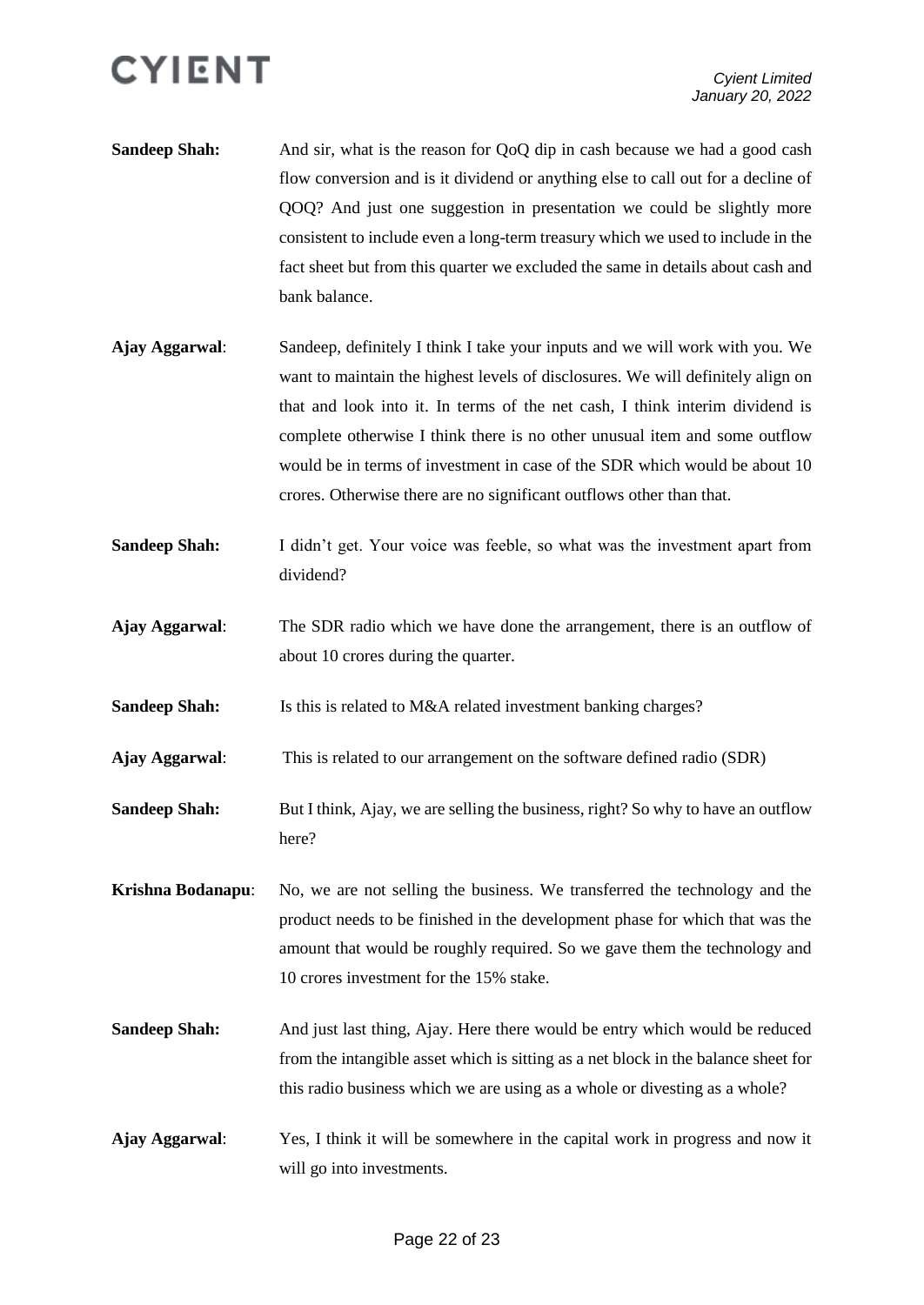

- **Sandeep Shah:** And sir, what is the reason for QoQ dip in cash because we had a good cash flow conversion and is it dividend or anything else to call out for a decline of QOQ? And just one suggestion in presentation we could be slightly more consistent to include even a long-term treasury which we used to include in the fact sheet but from this quarter we excluded the same in details about cash and bank balance.
- **Ajay Aggarwal**: Sandeep, definitely I think I take your inputs and we will work with you. We want to maintain the highest levels of disclosures. We will definitely align on that and look into it. In terms of the net cash, I think interim dividend is complete otherwise I think there is no other unusual item and some outflow would be in terms of investment in case of the SDR which would be about 10 crores. Otherwise there are no significant outflows other than that.
- **Sandeep Shah:** I didn't get. Your voice was feeble, so what was the investment apart from dividend?
- **Ajay Aggarwal**: The SDR radio which we have done the arrangement, there is an outflow of about 10 crores during the quarter.
- **Sandeep Shah:** Is this is related to M&A related investment banking charges?
- **Ajay Aggarwal**: This is related to our arrangement on the software defined radio (SDR)
- **Sandeep Shah:** But I think, Ajay, we are selling the business, right? So why to have an outflow here?
- **Krishna Bodanapu**: No, we are not selling the business. We transferred the technology and the product needs to be finished in the development phase for which that was the amount that would be roughly required. So we gave them the technology and 10 crores investment for the 15% stake.
- **Sandeep Shah:** And just last thing, Ajay. Here there would be entry which would be reduced from the intangible asset which is sitting as a net block in the balance sheet for this radio business which we are using as a whole or divesting as a whole?
- **Ajay Aggarwal**: Yes, I think it will be somewhere in the capital work in progress and now it will go into investments.